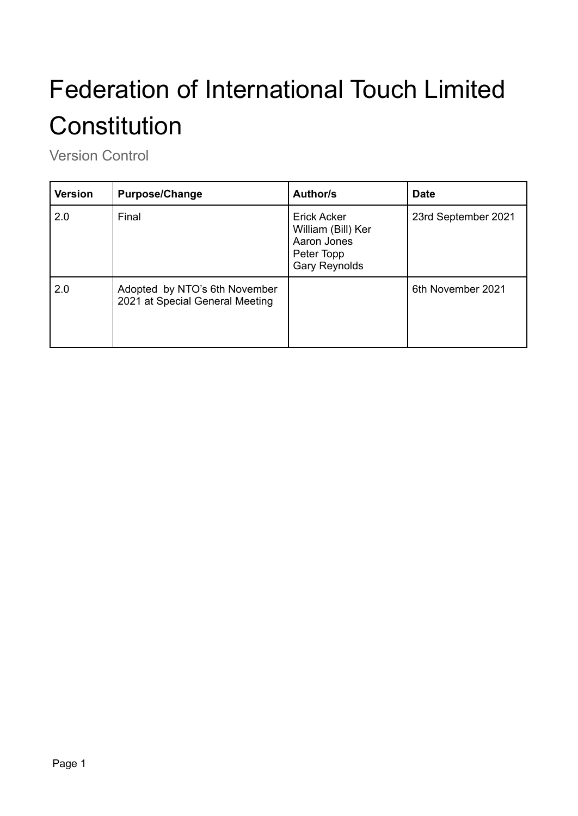# Federation of International Touch Limited **Constitution**

Version Control

| <b>Version</b> | <b>Purpose/Change</b>                                            | Author/s                                                                               | <b>Date</b>         |
|----------------|------------------------------------------------------------------|----------------------------------------------------------------------------------------|---------------------|
| 2.0            | Final                                                            | Erick Acker<br>William (Bill) Ker<br>Aaron Jones<br>Peter Topp<br><b>Gary Reynolds</b> | 23rd September 2021 |
| 2.0            | Adopted by NTO's 6th November<br>2021 at Special General Meeting |                                                                                        | 6th November 2021   |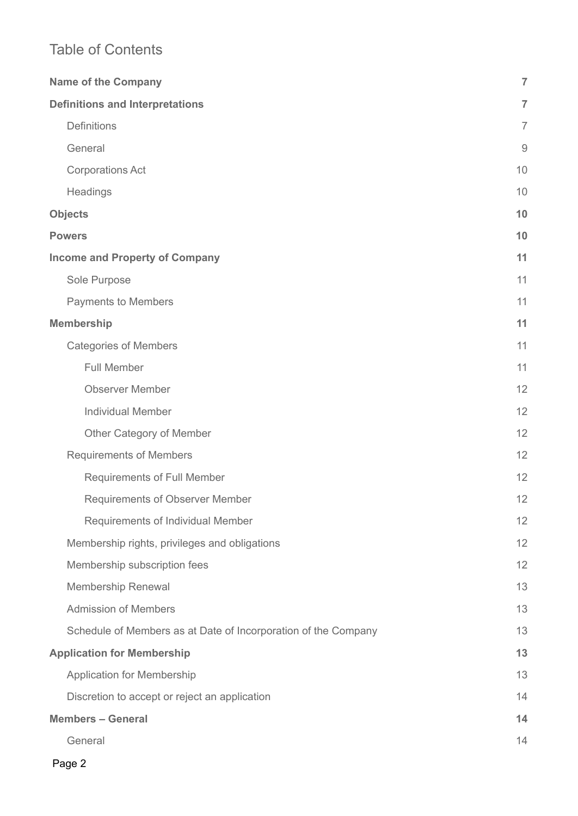## Table of Contents

| <b>Name of the Company</b>                                     | $\overline{7}$   |
|----------------------------------------------------------------|------------------|
| <b>Definitions and Interpretations</b>                         | $\overline{7}$   |
| Definitions                                                    | $\overline{7}$   |
| General                                                        | $\boldsymbol{9}$ |
| <b>Corporations Act</b>                                        | 10               |
| Headings                                                       | 10               |
| <b>Objects</b>                                                 | 10               |
| <b>Powers</b>                                                  | 10               |
| <b>Income and Property of Company</b>                          |                  |
| Sole Purpose                                                   | 11               |
| <b>Payments to Members</b>                                     | 11               |
| <b>Membership</b>                                              | 11               |
| <b>Categories of Members</b>                                   | 11               |
| <b>Full Member</b>                                             | 11               |
| <b>Observer Member</b>                                         | 12               |
| <b>Individual Member</b>                                       | 12               |
| Other Category of Member                                       | 12               |
| <b>Requirements of Members</b>                                 | 12               |
| <b>Requirements of Full Member</b>                             | 12               |
| <b>Requirements of Observer Member</b>                         | 12               |
| Requirements of Individual Member                              | 12               |
| Membership rights, privileges and obligations                  | 12               |
| Membership subscription fees                                   | 12               |
| <b>Membership Renewal</b>                                      | 13               |
| <b>Admission of Members</b>                                    | 13               |
| Schedule of Members as at Date of Incorporation of the Company | 13               |
| <b>Application for Membership</b>                              | 13               |
| <b>Application for Membership</b>                              | 13               |
| Discretion to accept or reject an application                  | 14               |
| <b>Members - General</b>                                       |                  |
| General                                                        | 14               |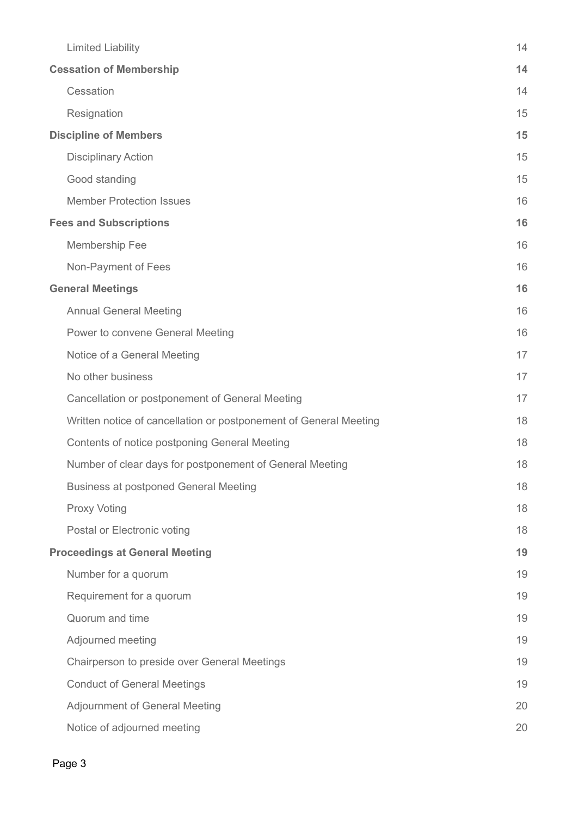| <b>Limited Liability</b>                                          | 14 |
|-------------------------------------------------------------------|----|
| <b>Cessation of Membership</b>                                    |    |
| Cessation                                                         | 14 |
| Resignation                                                       | 15 |
| <b>Discipline of Members</b>                                      | 15 |
| <b>Disciplinary Action</b>                                        | 15 |
| Good standing                                                     | 15 |
| <b>Member Protection Issues</b>                                   | 16 |
| <b>Fees and Subscriptions</b>                                     | 16 |
| Membership Fee                                                    | 16 |
| Non-Payment of Fees                                               | 16 |
| <b>General Meetings</b>                                           | 16 |
| <b>Annual General Meeting</b>                                     | 16 |
| Power to convene General Meeting                                  | 16 |
| Notice of a General Meeting                                       | 17 |
| No other business                                                 | 17 |
| Cancellation or postponement of General Meeting                   | 17 |
| Written notice of cancellation or postponement of General Meeting | 18 |
| Contents of notice postponing General Meeting                     | 18 |
| Number of clear days for postponement of General Meeting          | 18 |
| <b>Business at postponed General Meeting</b>                      | 18 |
| <b>Proxy Voting</b>                                               | 18 |
| Postal or Electronic voting                                       | 18 |
| <b>Proceedings at General Meeting</b>                             | 19 |
| Number for a quorum                                               | 19 |
| Requirement for a quorum                                          | 19 |
| Quorum and time                                                   | 19 |
| Adjourned meeting                                                 | 19 |
| Chairperson to preside over General Meetings                      | 19 |
| <b>Conduct of General Meetings</b>                                | 19 |
| <b>Adjournment of General Meeting</b>                             | 20 |
| Notice of adjourned meeting                                       | 20 |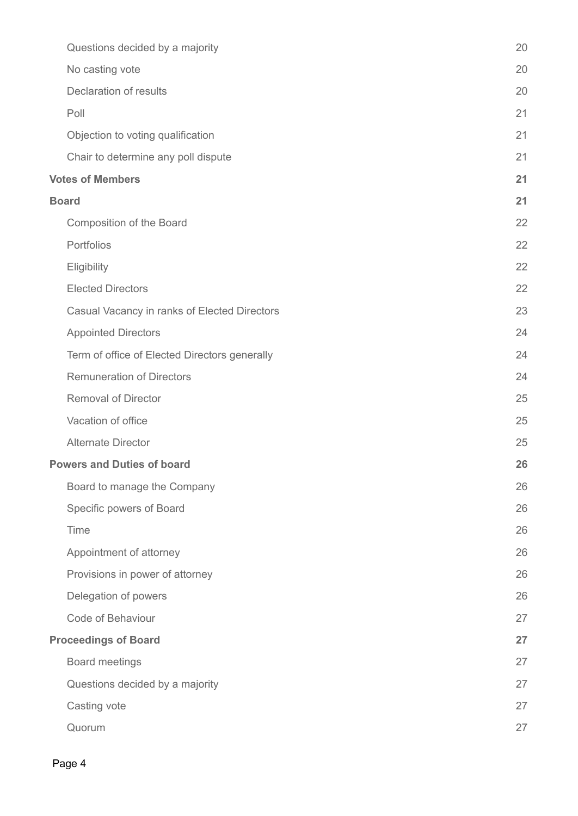| Questions decided by a majority               | 20 |
|-----------------------------------------------|----|
| No casting vote                               | 20 |
| <b>Declaration of results</b>                 | 20 |
| Poll                                          | 21 |
| Objection to voting qualification             | 21 |
| Chair to determine any poll dispute           | 21 |
| <b>Votes of Members</b>                       | 21 |
| <b>Board</b>                                  |    |
| Composition of the Board                      | 22 |
| Portfolios                                    | 22 |
| Eligibility                                   | 22 |
| <b>Elected Directors</b>                      | 22 |
| Casual Vacancy in ranks of Elected Directors  | 23 |
| <b>Appointed Directors</b>                    | 24 |
| Term of office of Elected Directors generally | 24 |
| <b>Remuneration of Directors</b>              | 24 |
| <b>Removal of Director</b>                    | 25 |
| Vacation of office                            | 25 |
| <b>Alternate Director</b>                     | 25 |
| <b>Powers and Duties of board</b>             | 26 |
| Board to manage the Company                   | 26 |
| Specific powers of Board                      | 26 |
| Time                                          | 26 |
| Appointment of attorney                       | 26 |
| Provisions in power of attorney               | 26 |
| Delegation of powers                          | 26 |
| Code of Behaviour                             | 27 |
| <b>Proceedings of Board</b>                   | 27 |
| <b>Board meetings</b>                         | 27 |
| Questions decided by a majority               | 27 |
| Casting vote                                  | 27 |
| Quorum                                        | 27 |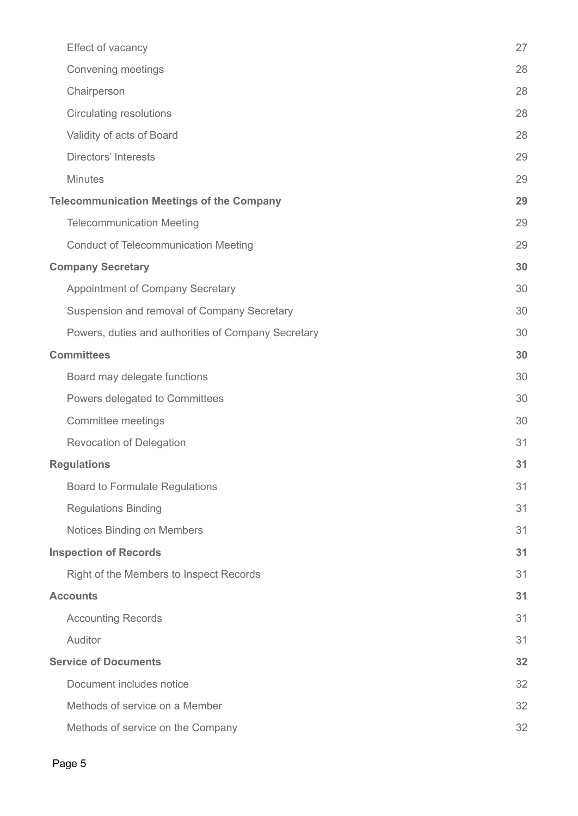| Effect of vacancy                                   | 27 |
|-----------------------------------------------------|----|
| Convening meetings                                  | 28 |
| Chairperson                                         | 28 |
| <b>Circulating resolutions</b>                      | 28 |
| Validity of acts of Board                           | 28 |
| <b>Directors' Interests</b>                         | 29 |
| <b>Minutes</b>                                      | 29 |
| <b>Telecommunication Meetings of the Company</b>    |    |
| <b>Telecommunication Meeting</b>                    | 29 |
| <b>Conduct of Telecommunication Meeting</b>         | 29 |
| <b>Company Secretary</b>                            | 30 |
| Appointment of Company Secretary                    | 30 |
| Suspension and removal of Company Secretary         | 30 |
| Powers, duties and authorities of Company Secretary | 30 |
| <b>Committees</b>                                   |    |
| Board may delegate functions                        | 30 |
| Powers delegated to Committees                      | 30 |
| Committee meetings                                  | 30 |
| <b>Revocation of Delegation</b>                     | 31 |
| <b>Regulations</b>                                  | 31 |
| <b>Board to Formulate Regulations</b>               | 31 |
| <b>Regulations Binding</b>                          | 31 |
| Notices Binding on Members                          | 31 |
| <b>Inspection of Records</b>                        | 31 |
| Right of the Members to Inspect Records             | 31 |
| <b>Accounts</b>                                     | 31 |
| <b>Accounting Records</b>                           | 31 |
| Auditor                                             | 31 |
| <b>Service of Documents</b>                         |    |
| Document includes notice                            | 32 |
| Methods of service on a Member                      | 32 |
| Methods of service on the Company                   | 32 |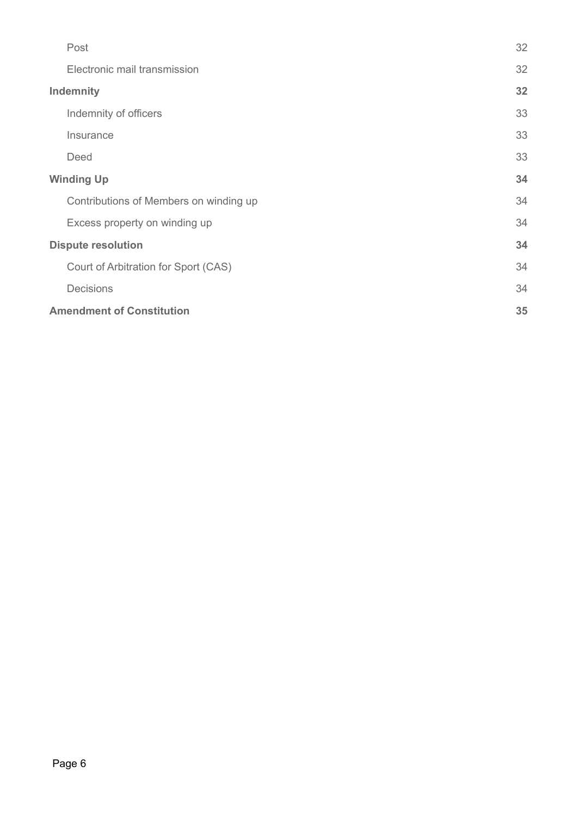|                   | Post                                   | 32 |
|-------------------|----------------------------------------|----|
|                   | Electronic mail transmission           | 32 |
| <b>Indemnity</b>  |                                        | 32 |
|                   | Indemnity of officers                  | 33 |
|                   | Insurance                              | 33 |
|                   | Deed                                   | 33 |
| <b>Winding Up</b> |                                        | 34 |
|                   | Contributions of Members on winding up | 34 |
|                   | Excess property on winding up          | 34 |
|                   | <b>Dispute resolution</b>              |    |
|                   | Court of Arbitration for Sport (CAS)   | 34 |
|                   | <b>Decisions</b>                       | 34 |
|                   | <b>Amendment of Constitution</b>       |    |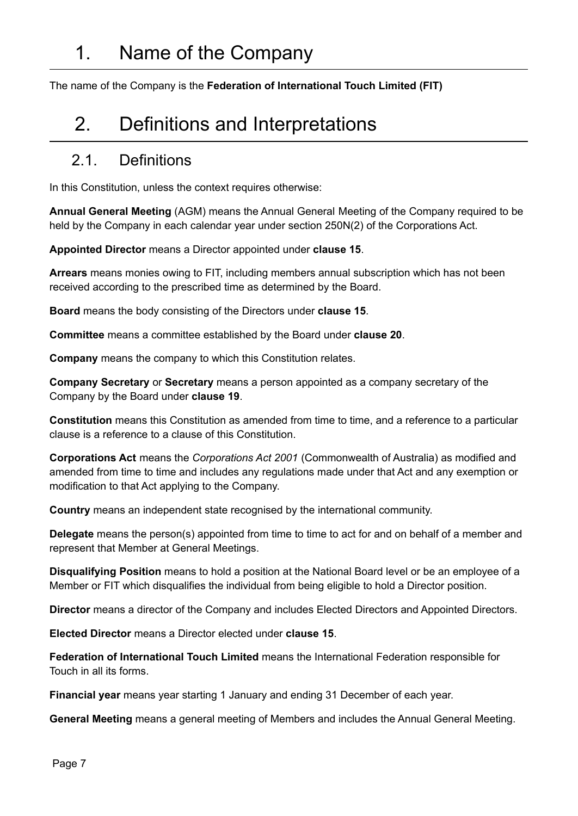<span id="page-6-1"></span><span id="page-6-0"></span>The name of the Company is the **Federation of International Touch Limited (FIT)**

## 2. Definitions and Interpretations

#### <span id="page-6-2"></span>2.1. Definitions

In this Constitution, unless the context requires otherwise:

**Annual General Meeting** (AGM) means the Annual General Meeting of the Company required to be held by the Company in each calendar year under section 250N(2) of the Corporations Act.

**Appointed Director** means a Director appointed under **clause 15**.

**Arrears** means monies owing to FIT, including members annual subscription which has not been received according to the prescribed time as determined by the Board.

**Board** means the body consisting of the Directors under **clause 15**.

**Committee** means a committee established by the Board under **clause 20**.

**Company** means the company to which this Constitution relates.

**Company Secretary** or **Secretary** means a person appointed as a company secretary of the Company by the Board under **clause 19**.

**Constitution** means this Constitution as amended from time to time, and a reference to a particular clause is a reference to a clause of this Constitution.

**Corporations Act** means the *Corporations Act 2001* (Commonwealth of Australia) as modified and amended from time to time and includes any regulations made under that Act and any exemption or modification to that Act applying to the Company.

**Country** means an independent state recognised by the international community.

**Delegate** means the person(s) appointed from time to time to act for and on behalf of a member and represent that Member at General Meetings.

**Disqualifying Position** means to hold a position at the National Board level or be an employee of a Member or FIT which disqualifies the individual from being eligible to hold a Director position.

**Director** means a director of the Company and includes Elected Directors and Appointed Directors.

**Elected Director** means a Director elected under **clause 15**.

**Federation of International Touch Limited** means the International Federation responsible for Touch in all its forms.

**Financial year** means year starting 1 January and ending 31 December of each year.

**General Meeting** means a general meeting of Members and includes the Annual General Meeting.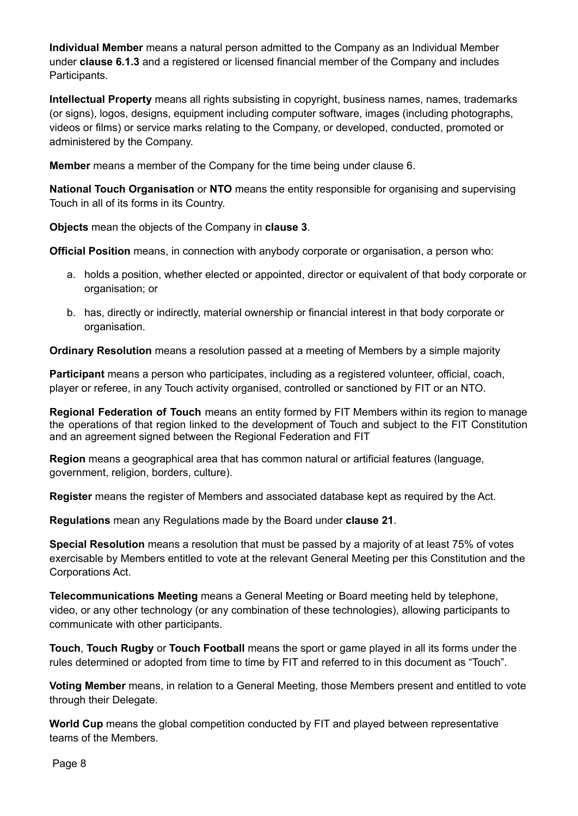**Individual Member** means a natural person admitted to the Company as an Individual Member under **clause 6.1.3** and a registered or licensed financial member of the Company and includes Participants.

**Intellectual Property** means all rights subsisting in copyright, business names, names, trademarks (or signs), logos, designs, equipment including computer software, images (including photographs, videos or films) or service marks relating to the Company, or developed, conducted, promoted or administered by the Company.

**Member** means a member of the Company for the time being under clause 6.

**National Touch Organisation** or **NTO** means the entity responsible for organising and supervising Touch in all of its forms in its Country.

**Objects** mean the objects of the Company in **clause 3**.

**Official Position** means, in connection with anybody corporate or organisation, a person who:

- a. holds a position, whether elected or appointed, director or equivalent of that body corporate or organisation; or
- b. has, directly or indirectly, material ownership or financial interest in that body corporate or organisation.

**Ordinary Resolution** means a resolution passed at a meeting of Members by a simple majority

**Participant** means a person who participates, including as a registered volunteer, official, coach, player or referee, in any Touch activity organised, controlled or sanctioned by FIT or an NTO.

**Regional Federation of Touch** means an entity formed by FIT Members within its region to manage the operations of that region linked to the development of Touch and subject to the FIT Constitution and an agreement signed between the Regional Federation and FIT

**Region** means a geographical area that has common natural or artificial features (language, government, religion, borders, culture).

**Register** means the register of Members and associated database kept as required by the Act.

**Regulations** mean any Regulations made by the Board under **clause 21**.

**Special Resolution** means a resolution that must be passed by a majority of at least 75% of votes exercisable by Members entitled to vote at the relevant General Meeting per this Constitution and the Corporations Act.

**Telecommunications Meeting** means a General Meeting or Board meeting held by telephone, video, or any other technology (or any combination of these technologies), allowing participants to communicate with other participants.

**Touch**, **Touch Rugby** or **Touch Football** means the sport or game played in all its forms under the rules determined or adopted from time to time by FIT and referred to in this document as "Touch".

**Voting Member** means, in relation to a General Meeting, those Members present and entitled to vote through their Delegate.

**World Cup** means the global competition conducted by FIT and played between representative teams of the Members.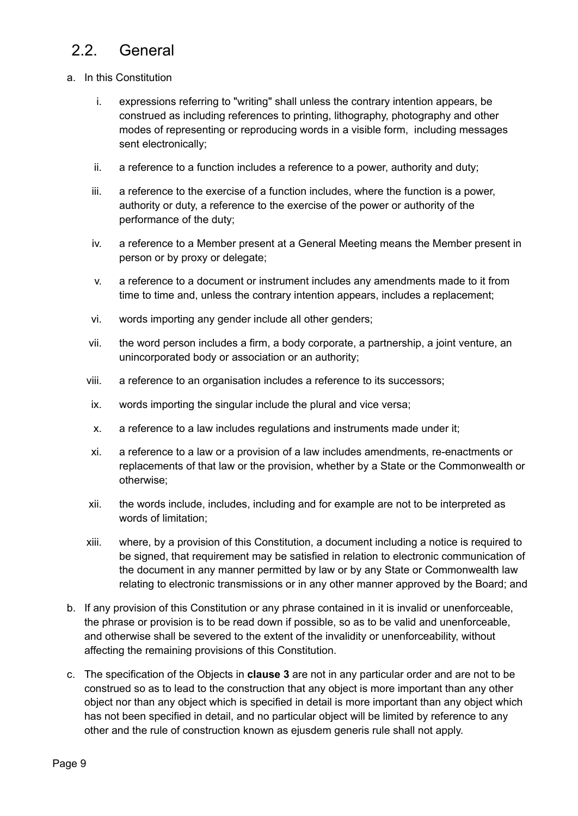## <span id="page-8-0"></span>2.2. General

- a. In this Constitution
	- i. expressions referring to "writing" shall unless the contrary intention appears, be construed as including references to printing, lithography, photography and other modes of representing or reproducing words in a visible form, including messages sent electronically;
	- ii. a reference to a function includes a reference to a power, authority and duty;
	- iii. a reference to the exercise of a function includes, where the function is a power, authority or duty, a reference to the exercise of the power or authority of the performance of the duty;
	- iv. a reference to a Member present at a General Meeting means the Member present in person or by proxy or delegate;
	- v. a reference to a document or instrument includes any amendments made to it from time to time and, unless the contrary intention appears, includes a replacement;
	- vi. words importing any gender include all other genders;
	- vii. the word person includes a firm, a body corporate, a partnership, a joint venture, an unincorporated body or association or an authority;
	- viii. a reference to an organisation includes a reference to its successors;
	- ix. words importing the singular include the plural and vice versa;
	- x. a reference to a law includes regulations and instruments made under it;
	- xi. a reference to a law or a provision of a law includes amendments, re-enactments or replacements of that law or the provision, whether by a State or the Commonwealth or otherwise;
	- xii. the words include, includes, including and for example are not to be interpreted as words of limitation;
	- xiii. where, by a provision of this Constitution, a document including a notice is required to be signed, that requirement may be satisfied in relation to electronic communication of the document in any manner permitted by law or by any State or Commonwealth law relating to electronic transmissions or in any other manner approved by the Board; and
- b. If any provision of this Constitution or any phrase contained in it is invalid or unenforceable, the phrase or provision is to be read down if possible, so as to be valid and unenforceable, and otherwise shall be severed to the extent of the invalidity or unenforceability, without affecting the remaining provisions of this Constitution.
- c. The specification of the Objects in **clause 3** are not in any particular order and are not to be construed so as to lead to the construction that any object is more important than any other object nor than any object which is specified in detail is more important than any object which has not been specified in detail, and no particular object will be limited by reference to any other and the rule of construction known as ejusdem generis rule shall not apply.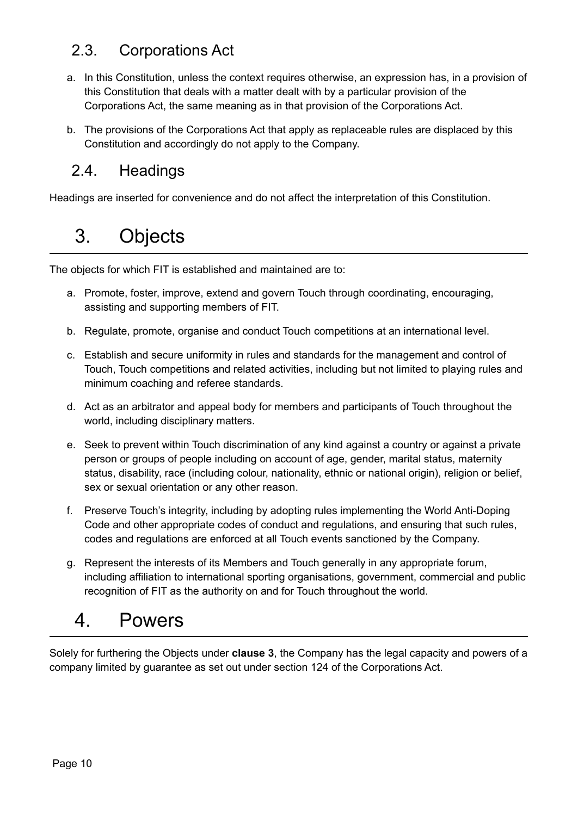## <span id="page-9-0"></span>2.3. Corporations Act

- a. In this Constitution, unless the context requires otherwise, an expression has, in a provision of this Constitution that deals with a matter dealt with by a particular provision of the Corporations Act, the same meaning as in that provision of the Corporations Act.
- b. The provisions of the Corporations Act that apply as replaceable rules are displaced by this Constitution and accordingly do not apply to the Company.

### <span id="page-9-1"></span>2.4. Headings

<span id="page-9-2"></span>Headings are inserted for convenience and do not affect the interpretation of this Constitution.

## 3. Objects

The objects for which FIT is established and maintained are to:

- a. Promote, foster, improve, extend and govern Touch through coordinating, encouraging, assisting and supporting members of FIT.
- b. Regulate, promote, organise and conduct Touch competitions at an international level.
- c. Establish and secure uniformity in rules and standards for the management and control of Touch, Touch competitions and related activities, including but not limited to playing rules and minimum coaching and referee standards.
- d. Act as an arbitrator and appeal body for members and participants of Touch throughout the world, including disciplinary matters.
- e. Seek to prevent within Touch discrimination of any kind against a country or against a private person or groups of people including on account of age, gender, marital status, maternity status, disability, race (including colour, nationality, ethnic or national origin), religion or belief, sex or sexual orientation or any other reason.
- f. Preserve Touch's integrity, including by adopting rules implementing the World Anti-Doping Code and other appropriate codes of conduct and regulations, and ensuring that such rules, codes and regulations are enforced at all Touch events sanctioned by the Company.
- g. Represent the interests of its Members and Touch generally in any appropriate forum, including affiliation to international sporting organisations, government, commercial and public recognition of FIT as the authority on and for Touch throughout the world.

## <span id="page-9-3"></span>4. Powers

Solely for furthering the Objects under **clause 3**, the Company has the legal capacity and powers of a company limited by guarantee as set out under section 124 of the Corporations Act.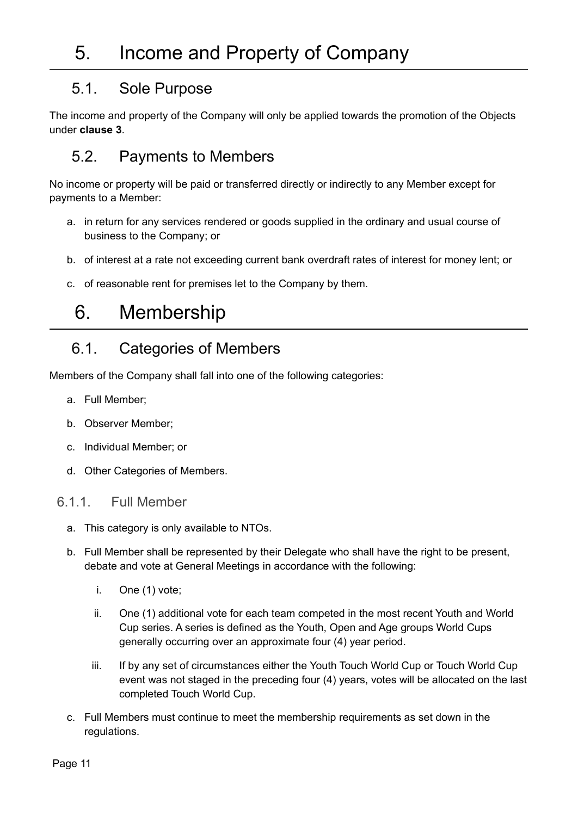## <span id="page-10-0"></span>5. Income and Property of Company

#### <span id="page-10-1"></span>5.1. Sole Purpose

The income and property of the Company will only be applied towards the promotion of the Objects under **clause 3**.

## <span id="page-10-2"></span>5.2. Payments to Members

No income or property will be paid or transferred directly or indirectly to any Member except for payments to a Member:

- a. in return for any services rendered or goods supplied in the ordinary and usual course of business to the Company; or
- b. of interest at a rate not exceeding current bank overdraft rates of interest for money lent; or
- c. of reasonable rent for premises let to the Company by them.

## <span id="page-10-3"></span>6. Membership

### <span id="page-10-4"></span>6.1. Categories of Members

Members of the Company shall fall into one of the following categories:

- a. Full Member;
- b. Observer Member;
- c. Individual Member; or
- d. Other Categories of Members.

#### <span id="page-10-5"></span>6.1.1. Full Member

- a. This category is only available to NTOs.
- b. Full Member shall be represented by their Delegate who shall have the right to be present, debate and vote at General Meetings in accordance with the following:
	- i. One (1) vote;
	- ii. One (1) additional vote for each team competed in the most recent Youth and World Cup series. A series is defined as the Youth, Open and Age groups World Cups generally occurring over an approximate four (4) year period.
	- iii. If by any set of circumstances either the Youth Touch World Cup or Touch World Cup event was not staged in the preceding four (4) years, votes will be allocated on the last completed Touch World Cup.
- c. Full Members must continue to meet the membership requirements as set down in the regulations.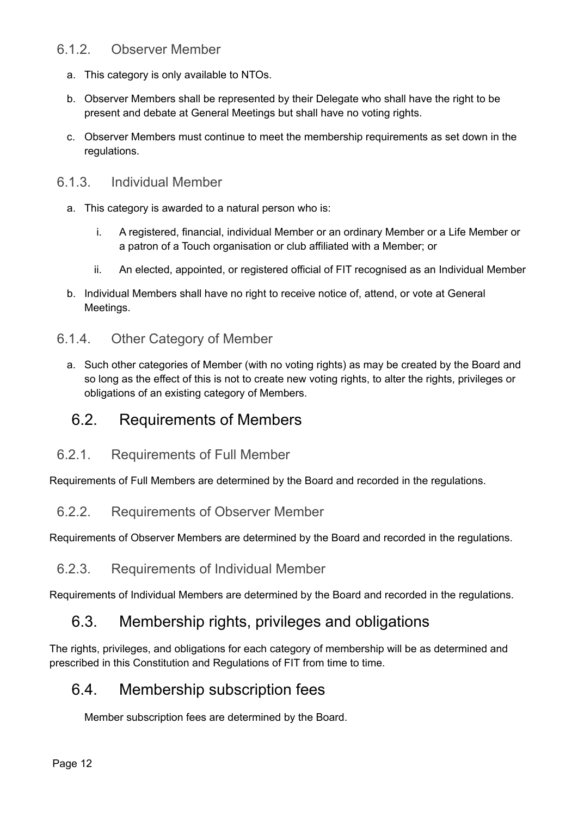#### <span id="page-11-0"></span>6.1.2. Observer Member

- a. This category is only available to NTOs.
- b. Observer Members shall be represented by their Delegate who shall have the right to be present and debate at General Meetings but shall have no voting rights.
- c. Observer Members must continue to meet the membership requirements as set down in the regulations.

#### <span id="page-11-1"></span>6.1.3. Individual Member

- a. This category is awarded to a natural person who is:
	- i. A registered, financial, individual Member or an ordinary Member or a Life Member or a patron of a Touch organisation or club affiliated with a Member; or
	- ii. An elected, appointed, or registered official of FIT recognised as an Individual Member
- b. Individual Members shall have no right to receive notice of, attend, or vote at General Meetings.

#### <span id="page-11-2"></span>6.1.4. Other Category of Member

a. Such other categories of Member (with no voting rights) as may be created by the Board and so long as the effect of this is not to create new voting rights, to alter the rights, privileges or obligations of an existing category of Members.

#### <span id="page-11-3"></span>6.2. Requirements of Members

<span id="page-11-4"></span>6.2.1. Requirements of Full Member

Requirements of Full Members are determined by the Board and recorded in the regulations.

<span id="page-11-5"></span>6.2.2. Requirements of Observer Member

Requirements of Observer Members are determined by the Board and recorded in the regulations.

<span id="page-11-6"></span>6.2.3. Requirements of Individual Member

Requirements of Individual Members are determined by the Board and recorded in the regulations.

#### <span id="page-11-7"></span>6.3. Membership rights, privileges and obligations

The rights, privileges, and obligations for each category of membership will be as determined and prescribed in this Constitution and Regulations of FIT from time to time.

#### <span id="page-11-8"></span>6.4. Membership subscription fees

Member subscription fees are determined by the Board.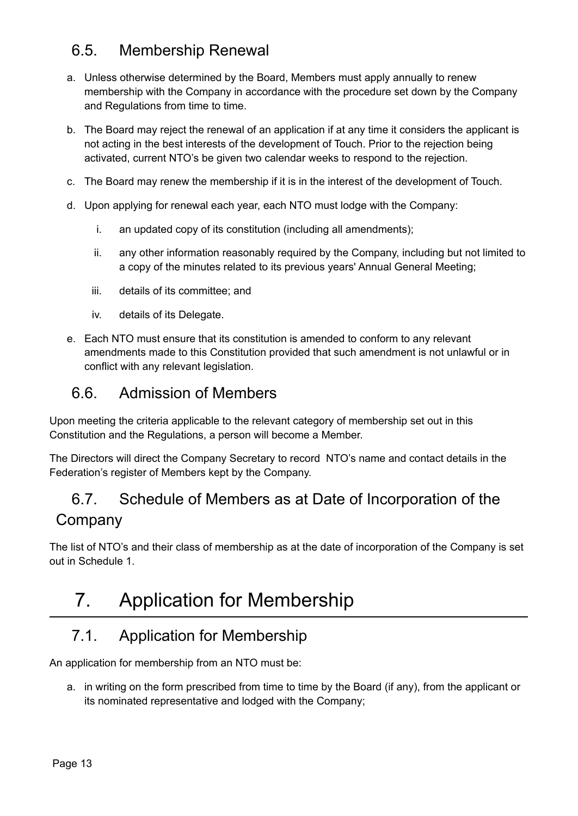## <span id="page-12-0"></span>6.5. Membership Renewal

- a. Unless otherwise determined by the Board, Members must apply annually to renew membership with the Company in accordance with the procedure set down by the Company and Regulations from time to time.
- b. The Board may reject the renewal of an application if at any time it considers the applicant is not acting in the best interests of the development of Touch. Prior to the rejection being activated, current NTO's be given two calendar weeks to respond to the rejection.
- c. The Board may renew the membership if it is in the interest of the development of Touch.
- d. Upon applying for renewal each year, each NTO must lodge with the Company:
	- i. an updated copy of its constitution (including all amendments);
	- ii. any other information reasonably required by the Company, including but not limited to a copy of the minutes related to its previous years' Annual General Meeting;
	- iii. details of its committee; and
	- iv. details of its Delegate.
- e. Each NTO must ensure that its constitution is amended to conform to any relevant amendments made to this Constitution provided that such amendment is not unlawful or in conflict with any relevant legislation.

#### <span id="page-12-1"></span>6.6. Admission of Members

Upon meeting the criteria applicable to the relevant category of membership set out in this Constitution and the Regulations, a person will become a Member.

The Directors will direct the Company Secretary to record NTO's name and contact details in the Federation's register of Members kept by the Company.

## <span id="page-12-2"></span>6.7. Schedule of Members as at Date of Incorporation of the Company

The list of NTO's and their class of membership as at the date of incorporation of the Company is set out in Schedule 1.

## <span id="page-12-3"></span>7. Application for Membership

### <span id="page-12-4"></span>7.1. Application for Membership

An application for membership from an NTO must be:

a. in writing on the form prescribed from time to time by the Board (if any), from the applicant or its nominated representative and lodged with the Company;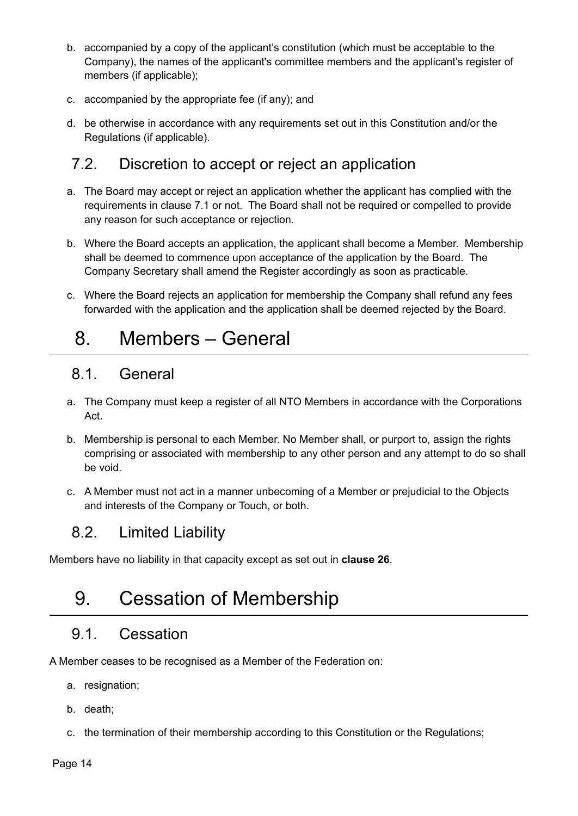- b. accompanied by a copy of the applicant's constitution (which must be acceptable to the Company), the names of the applicant's committee members and the applicant's register of members (if applicable);
- c. accompanied by the appropriate fee (if any); and
- d. be otherwise in accordance with any requirements set out in this Constitution and/or the Regulations (if applicable).

### <span id="page-13-0"></span>7.2. Discretion to accept or reject an application

- a. The Board may accept or reject an application whether the applicant has complied with the requirements in clause 7.1 or not. The Board shall not be required or compelled to provide any reason for such acceptance or rejection.
- b. Where the Board accepts an application, the applicant shall become a Member. Membership shall be deemed to commence upon acceptance of the application by the Board. The Company Secretary shall amend the Register accordingly as soon as practicable.
- c. Where the Board rejects an application for membership the Company shall refund any fees forwarded with the application and the application shall be deemed rejected by the Board.

## <span id="page-13-1"></span>8. Members – General

#### <span id="page-13-2"></span>8.1. General

- a. The Company must keep a register of all NTO Members in accordance with the Corporations Act.
- b. Membership is personal to each Member. No Member shall, or purport to, assign the rights comprising or associated with membership to any other person and any attempt to do so shall be void.
- c. A Member must not act in a manner unbecoming of a Member or prejudicial to the Objects and interests of the Company or Touch, or both.

## <span id="page-13-3"></span>8.2. Limited Liability

<span id="page-13-4"></span>Members have no liability in that capacity except as set out in **clause 26**.

## 9. Cessation of Membership

## <span id="page-13-5"></span>9.1. Cessation

A Member ceases to be recognised as a Member of the Federation on:

- a. resignation;
- b. death;
- c. the termination of their membership according to this Constitution or the Regulations;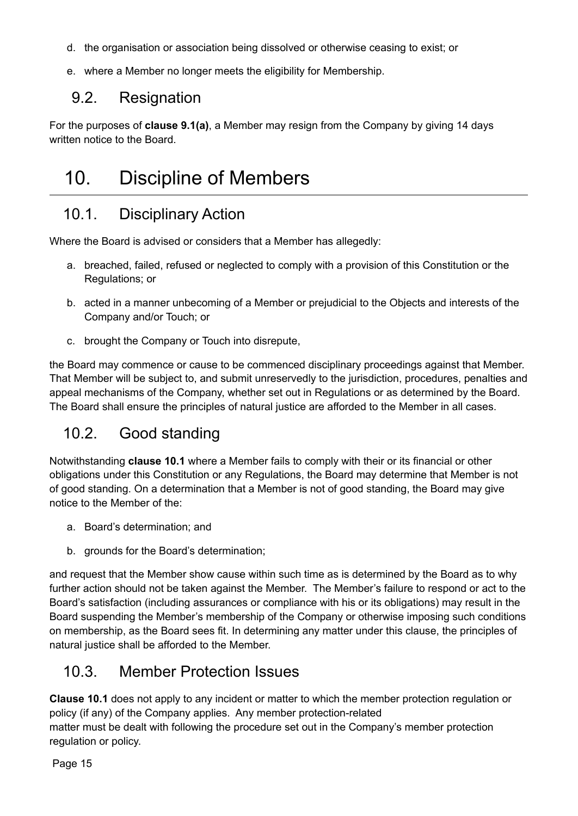- d. the organisation or association being dissolved or otherwise ceasing to exist; or
- e. where a Member no longer meets the eligibility for Membership.

### <span id="page-14-0"></span>9.2. Resignation

For the purposes of **clause 9.1(a)**, a Member may resign from the Company by giving 14 days written notice to the Board.

## <span id="page-14-1"></span>10. Discipline of Members

## <span id="page-14-2"></span>10.1. Disciplinary Action

Where the Board is advised or considers that a Member has allegedly:

- a. breached, failed, refused or neglected to comply with a provision of this Constitution or the Regulations; or
- b. acted in a manner unbecoming of a Member or prejudicial to the Objects and interests of the Company and/or Touch; or
- c. brought the Company or Touch into disrepute,

the Board may commence or cause to be commenced disciplinary proceedings against that Member. That Member will be subject to, and submit unreservedly to the jurisdiction, procedures, penalties and appeal mechanisms of the Company, whether set out in Regulations or as determined by the Board. The Board shall ensure the principles of natural justice are afforded to the Member in all cases.

## <span id="page-14-3"></span>10.2. Good standing

Notwithstanding **clause 10.1** where a Member fails to comply with their or its financial or other obligations under this Constitution or any Regulations, the Board may determine that Member is not of good standing. On a determination that a Member is not of good standing, the Board may give notice to the Member of the:

- a. Board's determination; and
- b. grounds for the Board's determination;

and request that the Member show cause within such time as is determined by the Board as to why further action should not be taken against the Member. The Member's failure to respond or act to the Board's satisfaction (including assurances or compliance with his or its obligations) may result in the Board suspending the Member's membership of the Company or otherwise imposing such conditions on membership, as the Board sees fit. In determining any matter under this clause, the principles of natural justice shall be afforded to the Member.

## <span id="page-14-4"></span>10.3. Member Protection Issues

**Clause 10.1** does not apply to any incident or matter to which the member protection regulation or policy (if any) of the Company applies. Any member protection-related matter must be dealt with following the procedure set out in the Company's member protection regulation or policy.

Page 15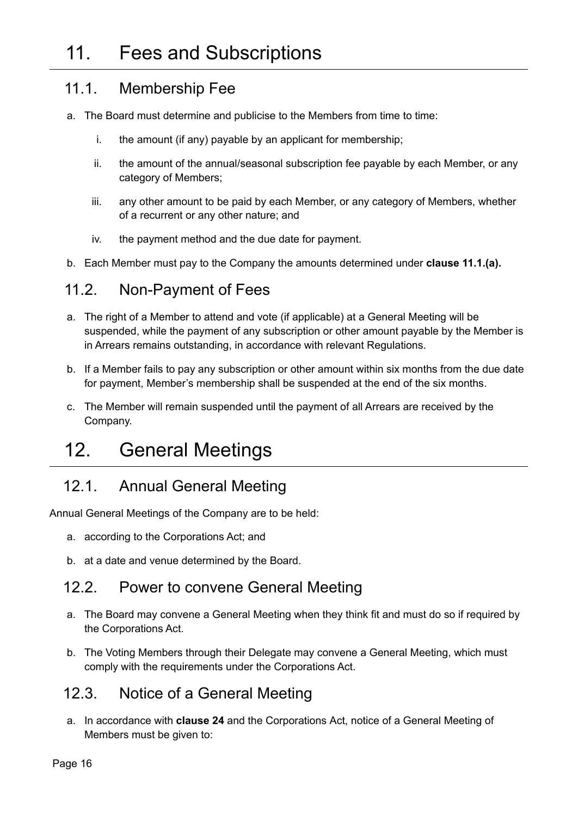#### <span id="page-15-1"></span><span id="page-15-0"></span>11.1. Membership Fee

- a. The Board must determine and publicise to the Members from time to time:
	- i. the amount (if any) payable by an applicant for membership;
	- ii. the amount of the annual/seasonal subscription fee payable by each Member, or any category of Members;
	- iii. any other amount to be paid by each Member, or any category of Members, whether of a recurrent or any other nature; and
	- iv. the payment method and the due date for payment.
- b. Each Member must pay to the Company the amounts determined under **clause 11.1.(a).**

#### <span id="page-15-2"></span>11.2. Non-Payment of Fees

- a. The right of a Member to attend and vote (if applicable) at a General Meeting will be suspended, while the payment of any subscription or other amount payable by the Member is in Arrears remains outstanding, in accordance with relevant Regulations.
- b. If a Member fails to pay any subscription or other amount within six months from the due date for payment, Member's membership shall be suspended at the end of the six months.
- c. The Member will remain suspended until the payment of all Arrears are received by the Company.

## <span id="page-15-3"></span>12. General Meetings

### <span id="page-15-4"></span>12.1. Annual General Meeting

Annual General Meetings of the Company are to be held:

- a. according to the Corporations Act; and
- b. at a date and venue determined by the Board.

#### <span id="page-15-5"></span>12.2. Power to convene General Meeting

- a. The Board may convene a General Meeting when they think fit and must do so if required by the Corporations Act.
- b. The Voting Members through their Delegate may convene a General Meeting, which must comply with the requirements under the Corporations Act.

### <span id="page-15-6"></span>12.3. Notice of a General Meeting

a. In accordance with **clause 24** and the Corporations Act, notice of a General Meeting of Members must be given to: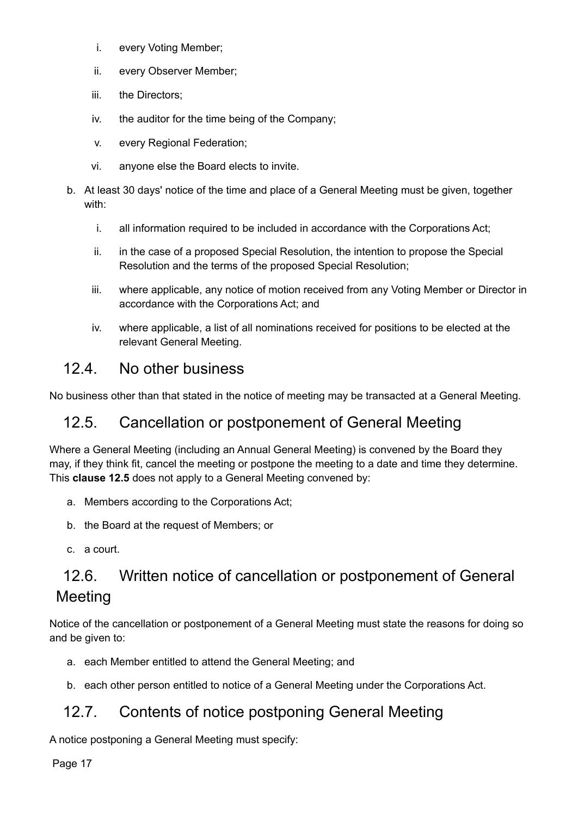- i. every Voting Member;
- ii. every Observer Member;
- iii. the Directors;
- iv. the auditor for the time being of the Company;
- v. every Regional Federation;
- vi. anyone else the Board elects to invite.
- b. At least 30 days' notice of the time and place of a General Meeting must be given, together with:
	- i. all information required to be included in accordance with the Corporations Act;
	- ii. in the case of a proposed Special Resolution, the intention to propose the Special Resolution and the terms of the proposed Special Resolution;
	- iii. where applicable, any notice of motion received from any Voting Member or Director in accordance with the Corporations Act; and
	- iv. where applicable, a list of all nominations received for positions to be elected at the relevant General Meeting.

### <span id="page-16-0"></span>12.4. No other business

No business other than that stated in the notice of meeting may be transacted at a General Meeting.

#### <span id="page-16-1"></span>12.5. Cancellation or postponement of General Meeting

Where a General Meeting (including an Annual General Meeting) is convened by the Board they may, if they think fit, cancel the meeting or postpone the meeting to a date and time they determine. This **clause 12.5** does not apply to a General Meeting convened by:

- a. Members according to the Corporations Act;
- b. the Board at the request of Members; or
- c. a court.

## <span id="page-16-2"></span>12.6. Written notice of cancellation or postponement of General Meeting

Notice of the cancellation or postponement of a General Meeting must state the reasons for doing so and be given to:

- a. each Member entitled to attend the General Meeting; and
- b. each other person entitled to notice of a General Meeting under the Corporations Act.

### <span id="page-16-3"></span>12.7. Contents of notice postponing General Meeting

A notice postponing a General Meeting must specify:

Page 17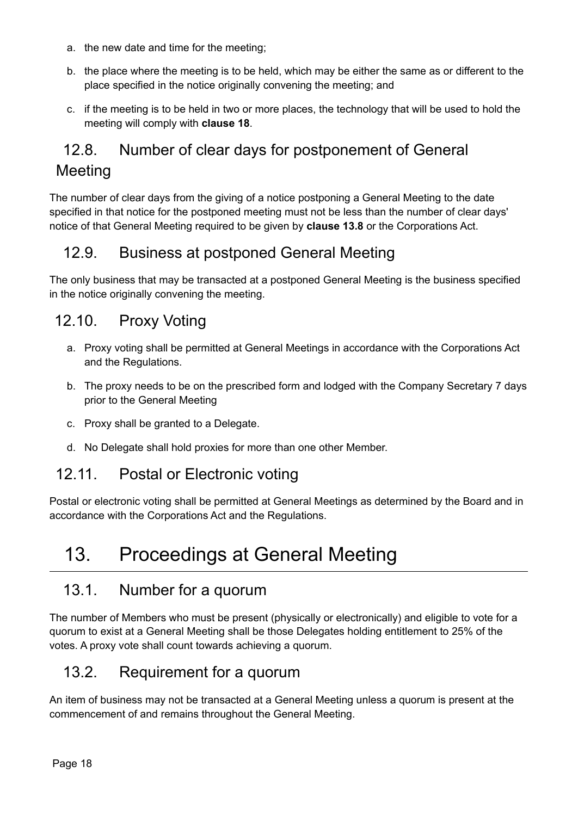- a. the new date and time for the meeting;
- b. the place where the meeting is to be held, which may be either the same as or different to the place specified in the notice originally convening the meeting; and
- c. if the meeting is to be held in two or more places, the technology that will be used to hold the meeting will comply with **clause 18**.

## <span id="page-17-0"></span>12.8. Number of clear days for postponement of General Meeting

The number of clear days from the giving of a notice postponing a General Meeting to the date specified in that notice for the postponed meeting must not be less than the number of clear days' notice of that General Meeting required to be given by **clause 13.8** or the Corporations Act.

### <span id="page-17-1"></span>12.9. Business at postponed General Meeting

The only business that may be transacted at a postponed General Meeting is the business specified in the notice originally convening the meeting.

#### <span id="page-17-2"></span>12.10. Proxy Voting

- a. Proxy voting shall be permitted at General Meetings in accordance with the Corporations Act and the Regulations.
- b. The proxy needs to be on the prescribed form and lodged with the Company Secretary 7 days prior to the General Meeting
- c. Proxy shall be granted to a Delegate.
- d. No Delegate shall hold proxies for more than one other Member.

#### <span id="page-17-3"></span>12.11. Postal or Electronic voting

Postal or electronic voting shall be permitted at General Meetings as determined by the Board and in accordance with the Corporations Act and the Regulations.

## <span id="page-17-4"></span>13. Proceedings at General Meeting

#### <span id="page-17-5"></span>13.1. Number for a quorum

The number of Members who must be present (physically or electronically) and eligible to vote for a quorum to exist at a General Meeting shall be those Delegates holding entitlement to 25% of the votes. A proxy vote shall count towards achieving a quorum.

### <span id="page-17-6"></span>13.2. Requirement for a quorum

An item of business may not be transacted at a General Meeting unless a quorum is present at the commencement of and remains throughout the General Meeting.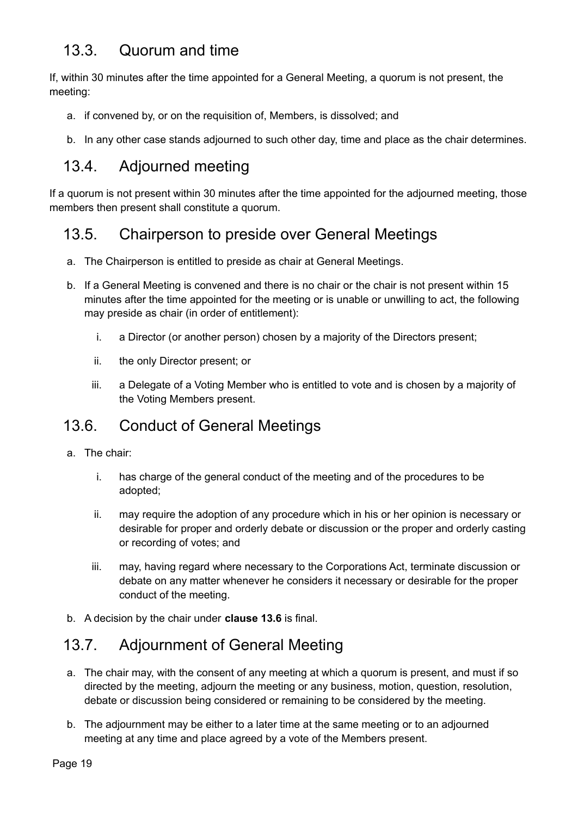## <span id="page-18-0"></span>13.3. Quorum and time

If, within 30 minutes after the time appointed for a General Meeting, a quorum is not present, the meeting:

- a. if convened by, or on the requisition of, Members, is dissolved; and
- b. In any other case stands adjourned to such other day, time and place as the chair determines.

### <span id="page-18-1"></span>13.4. Adjourned meeting

If a quorum is not present within 30 minutes after the time appointed for the adjourned meeting, those members then present shall constitute a quorum.

### <span id="page-18-2"></span>13.5. Chairperson to preside over General Meetings

- a. The Chairperson is entitled to preside as chair at General Meetings.
- b. If a General Meeting is convened and there is no chair or the chair is not present within 15 minutes after the time appointed for the meeting or is unable or unwilling to act, the following may preside as chair (in order of entitlement):
	- i. a Director (or another person) chosen by a majority of the Directors present;
	- ii. the only Director present; or
	- iii. a Delegate of a Voting Member who is entitled to vote and is chosen by a majority of the Voting Members present.

### <span id="page-18-3"></span>13.6. Conduct of General Meetings

- a. The chair:
	- i. has charge of the general conduct of the meeting and of the procedures to be adopted;
	- ii. may require the adoption of any procedure which in his or her opinion is necessary or desirable for proper and orderly debate or discussion or the proper and orderly casting or recording of votes; and
	- iii. may, having regard where necessary to the Corporations Act, terminate discussion or debate on any matter whenever he considers it necessary or desirable for the proper conduct of the meeting.
- b. A decision by the chair under **clause 13.6** is final.

### <span id="page-18-4"></span>13.7. Adjournment of General Meeting

- a. The chair may, with the consent of any meeting at which a quorum is present, and must if so directed by the meeting, adjourn the meeting or any business, motion, question, resolution, debate or discussion being considered or remaining to be considered by the meeting.
- b. The adjournment may be either to a later time at the same meeting or to an adjourned meeting at any time and place agreed by a vote of the Members present.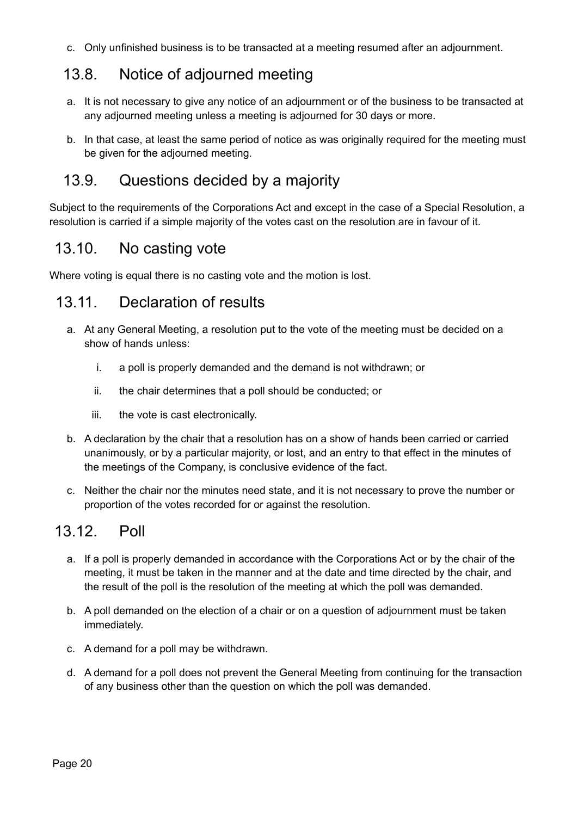c. Only unfinished business is to be transacted at a meeting resumed after an adjournment.

## <span id="page-19-0"></span>13.8. Notice of adjourned meeting

- a. It is not necessary to give any notice of an adjournment or of the business to be transacted at any adjourned meeting unless a meeting is adjourned for 30 days or more.
- b. In that case, at least the same period of notice as was originally required for the meeting must be given for the adjourned meeting.

### <span id="page-19-1"></span>13.9. Questions decided by a majority

Subject to the requirements of the Corporations Act and except in the case of a Special Resolution, a resolution is carried if a simple majority of the votes cast on the resolution are in favour of it.

### <span id="page-19-2"></span>13.10. No casting vote

Where voting is equal there is no casting vote and the motion is lost.

### <span id="page-19-3"></span>13.11. Declaration of results

- a. At any General Meeting, a resolution put to the vote of the meeting must be decided on a show of hands unless:
	- i. a poll is properly demanded and the demand is not withdrawn; or
	- ii. the chair determines that a poll should be conducted; or
	- iii. the vote is cast electronically.
- b. A declaration by the chair that a resolution has on a show of hands been carried or carried unanimously, or by a particular majority, or lost, and an entry to that effect in the minutes of the meetings of the Company, is conclusive evidence of the fact.
- c. Neither the chair nor the minutes need state, and it is not necessary to prove the number or proportion of the votes recorded for or against the resolution.

## <span id="page-19-4"></span>13.12. Poll

- a. If a poll is properly demanded in accordance with the Corporations Act or by the chair of the meeting, it must be taken in the manner and at the date and time directed by the chair, and the result of the poll is the resolution of the meeting at which the poll was demanded.
- b. A poll demanded on the election of a chair or on a question of adjournment must be taken immediately.
- c. A demand for a poll may be withdrawn.
- d. A demand for a poll does not prevent the General Meeting from continuing for the transaction of any business other than the question on which the poll was demanded.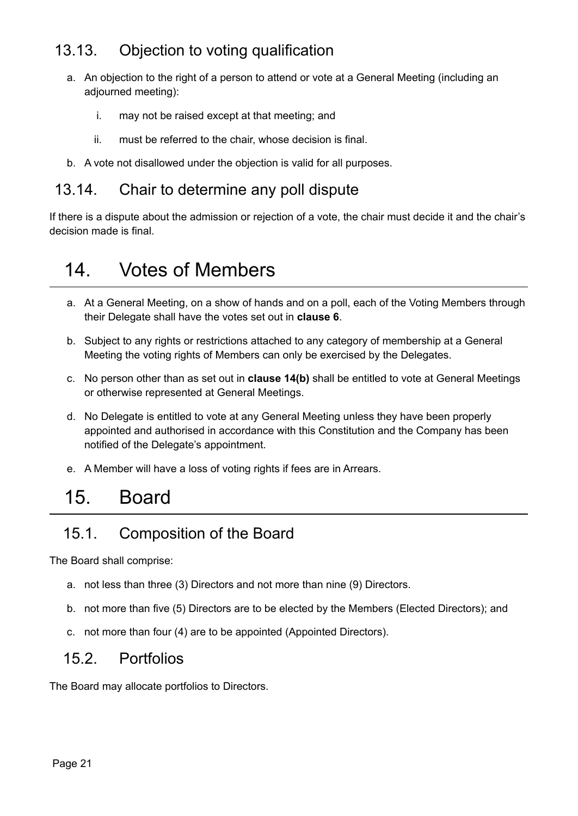## <span id="page-20-0"></span>13.13. Objection to voting qualification

- a. An objection to the right of a person to attend or vote at a General Meeting (including an adjourned meeting):
	- i. may not be raised except at that meeting; and
	- ii. must be referred to the chair, whose decision is final.
- b. A vote not disallowed under the objection is valid for all purposes.

#### <span id="page-20-1"></span>13.14. Chair to determine any poll dispute

If there is a dispute about the admission or rejection of a vote, the chair must decide it and the chair's decision made is final.

## <span id="page-20-2"></span>14. Votes of Members

- a. At a General Meeting, on a show of hands and on a poll, each of the Voting Members through their Delegate shall have the votes set out in **clause 6**.
- b. Subject to any rights or restrictions attached to any category of membership at a General Meeting the voting rights of Members can only be exercised by the Delegates.
- c. No person other than as set out in **clause 14(b)** shall be entitled to vote at General Meetings or otherwise represented at General Meetings.
- d. No Delegate is entitled to vote at any General Meeting unless they have been properly appointed and authorised in accordance with this Constitution and the Company has been notified of the Delegate's appointment.
- e. A Member will have a loss of voting rights if fees are in Arrears.

## <span id="page-20-3"></span>15. Board

### <span id="page-20-4"></span>15.1. Composition of the Board

The Board shall comprise:

- a. not less than three (3) Directors and not more than nine (9) Directors.
- b. not more than five (5) Directors are to be elected by the Members (Elected Directors); and
- c. not more than four (4) are to be appointed (Appointed Directors).

#### <span id="page-20-5"></span>15.2. Portfolios

The Board may allocate portfolios to Directors.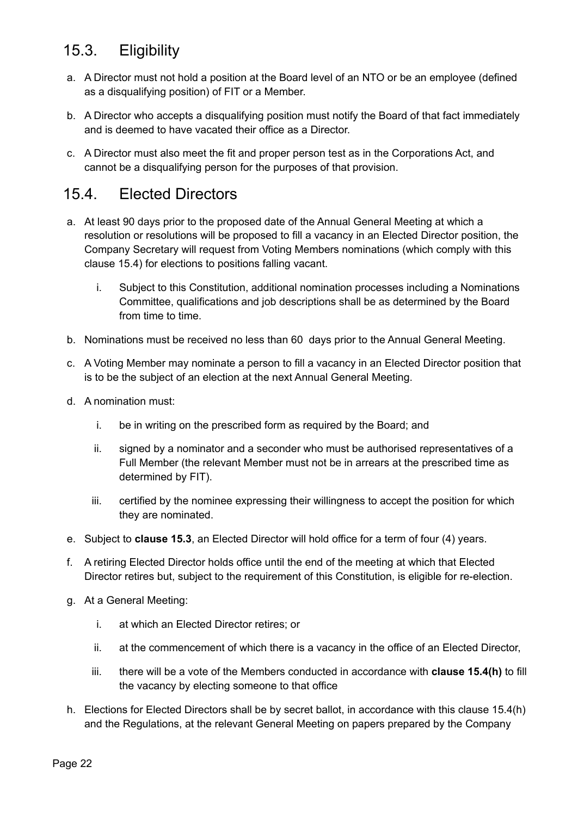## <span id="page-21-0"></span>15.3. Eligibility

- a. A Director must not hold a position at the Board level of an NTO or be an employee (defined as a disqualifying position) of FIT or a Member.
- b. A Director who accepts a disqualifying position must notify the Board of that fact immediately and is deemed to have vacated their office as a Director.
- c. A Director must also meet the fit and proper person test as in the Corporations Act, and cannot be a disqualifying person for the purposes of that provision.

### <span id="page-21-1"></span>15.4. Elected Directors

- a. At least 90 days prior to the proposed date of the Annual General Meeting at which a resolution or resolutions will be proposed to fill a vacancy in an Elected Director position, the Company Secretary will request from Voting Members nominations (which comply with this clause 15.4) for elections to positions falling vacant.
	- i. Subject to this Constitution, additional nomination processes including a Nominations Committee, qualifications and job descriptions shall be as determined by the Board from time to time.
- b. Nominations must be received no less than 60 days prior to the Annual General Meeting.
- c. A Voting Member may nominate a person to fill a vacancy in an Elected Director position that is to be the subject of an election at the next Annual General Meeting.
- d. A nomination must:
	- i. be in writing on the prescribed form as required by the Board; and
	- ii. signed by a nominator and a seconder who must be authorised representatives of a Full Member (the relevant Member must not be in arrears at the prescribed time as determined by FIT).
	- iii. certified by the nominee expressing their willingness to accept the position for which they are nominated.
- e. Subject to **clause 15.3**, an Elected Director will hold office for a term of four (4) years.
- f. A retiring Elected Director holds office until the end of the meeting at which that Elected Director retires but, subject to the requirement of this Constitution, is eligible for re-election.
- g. At a General Meeting:
	- i. at which an Elected Director retires; or
	- ii. at the commencement of which there is a vacancy in the office of an Elected Director,
	- iii. there will be a vote of the Members conducted in accordance with **clause 15.4(h)** to fill the vacancy by electing someone to that office
- h. Elections for Elected Directors shall be by secret ballot, in accordance with this clause 15.4(h) and the Regulations, at the relevant General Meeting on papers prepared by the Company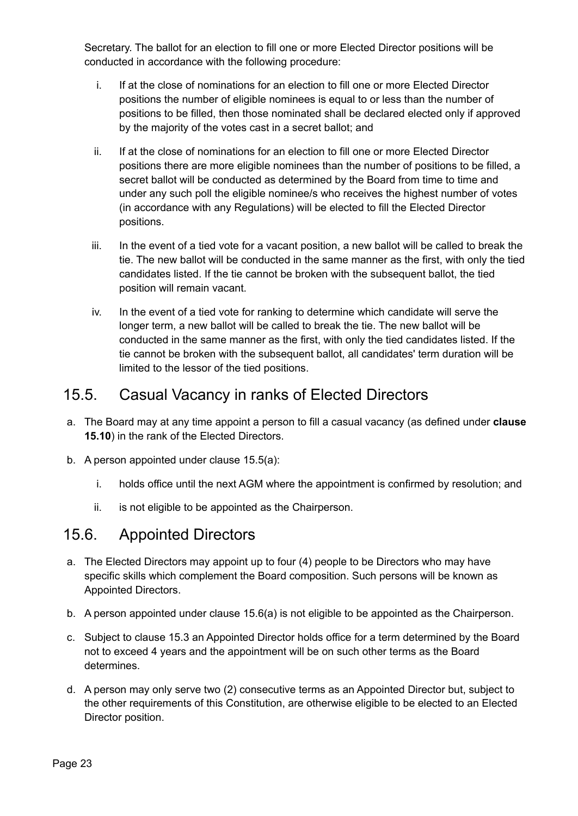Secretary. The ballot for an election to fill one or more Elected Director positions will be conducted in accordance with the following procedure:

- i. If at the close of nominations for an election to fill one or more Elected Director positions the number of eligible nominees is equal to or less than the number of positions to be filled, then those nominated shall be declared elected only if approved by the majority of the votes cast in a secret ballot; and
- ii. If at the close of nominations for an election to fill one or more Elected Director positions there are more eligible nominees than the number of positions to be filled, a secret ballot will be conducted as determined by the Board from time to time and under any such poll the eligible nominee/s who receives the highest number of votes (in accordance with any Regulations) will be elected to fill the Elected Director positions.
- iii. In the event of a tied vote for a vacant position, a new ballot will be called to break the tie. The new ballot will be conducted in the same manner as the first, with only the tied candidates listed. If the tie cannot be broken with the subsequent ballot, the tied position will remain vacant.
- iv. In the event of a tied vote for ranking to determine which candidate will serve the longer term, a new ballot will be called to break the tie. The new ballot will be conducted in the same manner as the first, with only the tied candidates listed. If the tie cannot be broken with the subsequent ballot, all candidates' term duration will be limited to the lessor of the tied positions.

### <span id="page-22-0"></span>15.5. Casual Vacancy in ranks of Elected Directors

- a. The Board may at any time appoint a person to fill a casual vacancy (as defined under **clause 15.10**) in the rank of the Elected Directors.
- b. A person appointed under clause 15.5(a):
	- i. holds office until the next AGM where the appointment is confirmed by resolution; and
	- ii. is not eligible to be appointed as the Chairperson.

#### <span id="page-22-1"></span>15.6. Appointed Directors

- a. The Elected Directors may appoint up to four (4) people to be Directors who may have specific skills which complement the Board composition. Such persons will be known as Appointed Directors.
- b. A person appointed under clause 15.6(a) is not eligible to be appointed as the Chairperson.
- c. Subject to clause 15.3 an Appointed Director holds office for a term determined by the Board not to exceed 4 years and the appointment will be on such other terms as the Board determines.
- d. A person may only serve two (2) consecutive terms as an Appointed Director but, subject to the other requirements of this Constitution, are otherwise eligible to be elected to an Elected Director position.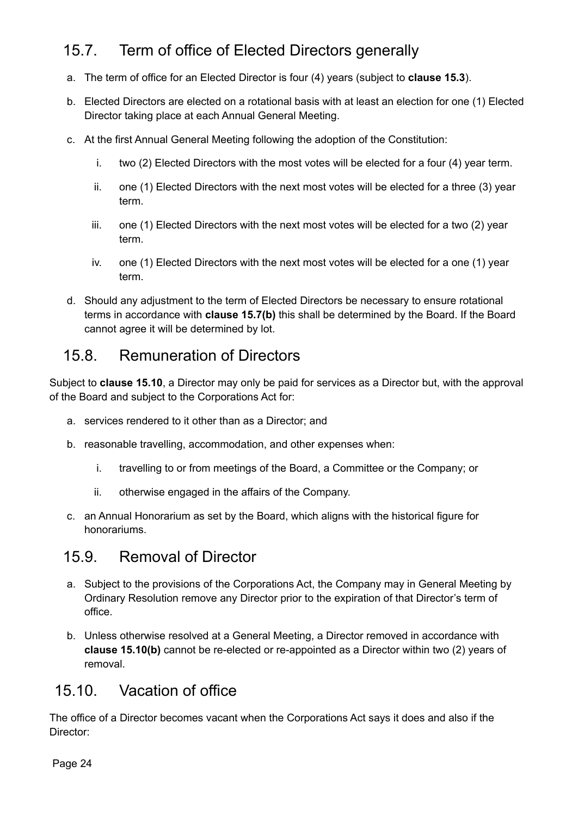## <span id="page-23-0"></span>15.7. Term of office of Elected Directors generally

- a. The term of office for an Elected Director is four (4) years (subject to **clause 15.3**).
- b. Elected Directors are elected on a rotational basis with at least an election for one (1) Elected Director taking place at each Annual General Meeting.
- c. At the first Annual General Meeting following the adoption of the Constitution:
	- i. two (2) Elected Directors with the most votes will be elected for a four (4) year term.
	- ii. one (1) Elected Directors with the next most votes will be elected for a three (3) year term.
	- iii. one (1) Elected Directors with the next most votes will be elected for a two (2) year term.
	- iv. one (1) Elected Directors with the next most votes will be elected for a one (1) year term.
- d. Should any adjustment to the term of Elected Directors be necessary to ensure rotational terms in accordance with **clause 15.7(b)** this shall be determined by the Board. If the Board cannot agree it will be determined by lot.

#### <span id="page-23-1"></span>15.8. Remuneration of Directors

Subject to **clause 15.10**, a Director may only be paid for services as a Director but, with the approval of the Board and subject to the Corporations Act for:

- a. services rendered to it other than as a Director; and
- b. reasonable travelling, accommodation, and other expenses when:
	- i. travelling to or from meetings of the Board, a Committee or the Company; or
	- ii. otherwise engaged in the affairs of the Company.
- c. an Annual Honorarium as set by the Board, which aligns with the historical figure for honorariums.

### <span id="page-23-2"></span>15.9. Removal of Director

- a. Subject to the provisions of the Corporations Act, the Company may in General Meeting by Ordinary Resolution remove any Director prior to the expiration of that Director's term of office.
- b. Unless otherwise resolved at a General Meeting, a Director removed in accordance with **clause 15.10(b)** cannot be re-elected or re-appointed as a Director within two (2) years of removal.

#### <span id="page-23-3"></span>15.10. Vacation of office

The office of a Director becomes vacant when the Corporations Act says it does and also if the Director:

Page 24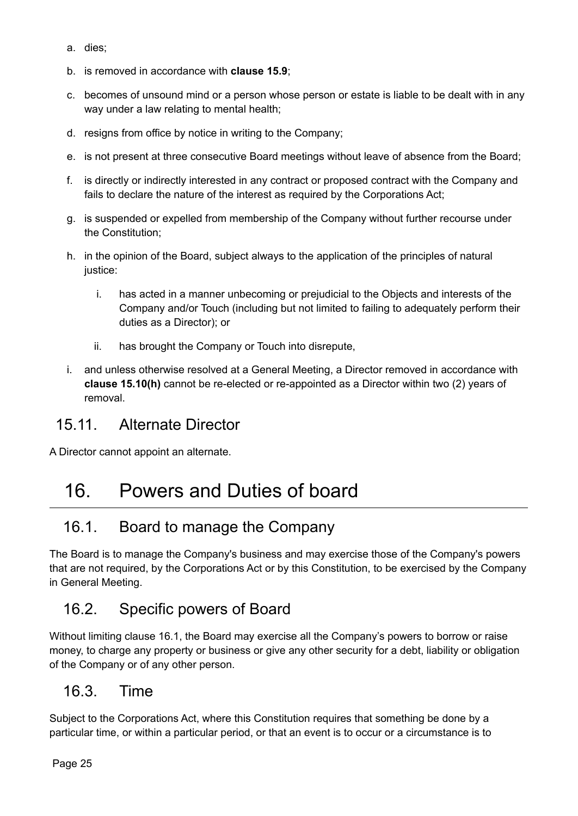- a. dies;
- b. is removed in accordance with **clause 15.9**;
- c. becomes of unsound mind or a person whose person or estate is liable to be dealt with in any way under a law relating to mental health;
- d. resigns from office by notice in writing to the Company;
- e. is not present at three consecutive Board meetings without leave of absence from the Board;
- f. is directly or indirectly interested in any contract or proposed contract with the Company and fails to declare the nature of the interest as required by the Corporations Act;
- g. is suspended or expelled from membership of the Company without further recourse under the Constitution;
- h. in the opinion of the Board, subject always to the application of the principles of natural justice:
	- i. has acted in a manner unbecoming or prejudicial to the Objects and interests of the Company and/or Touch (including but not limited to failing to adequately perform their duties as a Director); or
	- ii. has brought the Company or Touch into disrepute,
- i. and unless otherwise resolved at a General Meeting, a Director removed in accordance with **clause 15.10(h)** cannot be re-elected or re-appointed as a Director within two (2) years of removal.

#### <span id="page-24-0"></span>15.11. Alternate Director

A Director cannot appoint an alternate.

## <span id="page-24-1"></span>16. Powers and Duties of board

### <span id="page-24-2"></span>16.1. Board to manage the Company

The Board is to manage the Company's business and may exercise those of the Company's powers that are not required, by the Corporations Act or by this Constitution, to be exercised by the Company in General Meeting.

### <span id="page-24-3"></span>16.2. Specific powers of Board

Without limiting clause 16.1, the Board may exercise all the Company's powers to borrow or raise money, to charge any property or business or give any other security for a debt, liability or obligation of the Company or of any other person.

#### <span id="page-24-4"></span>16.3. Time

Subject to the Corporations Act, where this Constitution requires that something be done by a particular time, or within a particular period, or that an event is to occur or a circumstance is to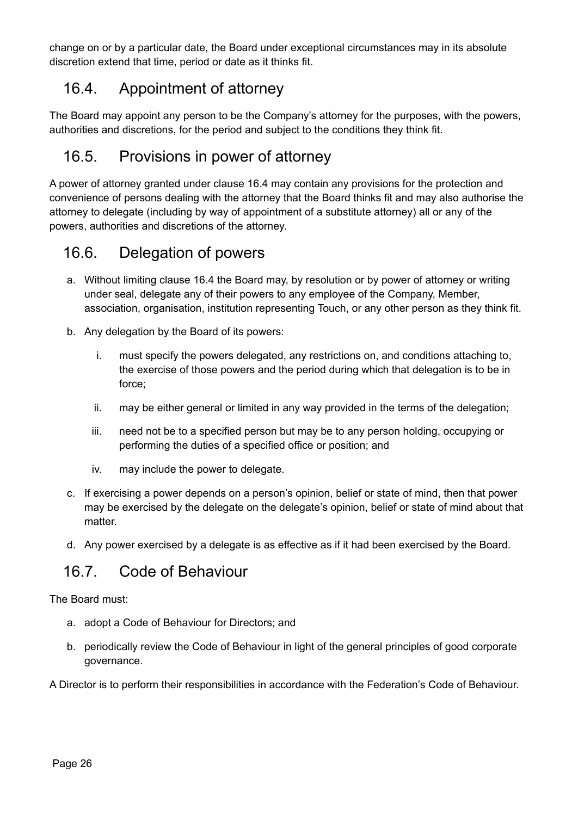change on or by a particular date, the Board under exceptional circumstances may in its absolute discretion extend that time, period or date as it thinks fit.

### <span id="page-25-0"></span>16.4. Appointment of attorney

The Board may appoint any person to be the Company's attorney for the purposes, with the powers, authorities and discretions, for the period and subject to the conditions they think fit.

## <span id="page-25-1"></span>16.5. Provisions in power of attorney

A power of attorney granted under clause 16.4 may contain any provisions for the protection and convenience of persons dealing with the attorney that the Board thinks fit and may also authorise the attorney to delegate (including by way of appointment of a substitute attorney) all or any of the powers, authorities and discretions of the attorney.

### <span id="page-25-2"></span>16.6. Delegation of powers

- a. Without limiting clause 16.4 the Board may, by resolution or by power of attorney or writing under seal, delegate any of their powers to any employee of the Company, Member, association, organisation, institution representing Touch, or any other person as they think fit.
- b. Any delegation by the Board of its powers:
	- i. must specify the powers delegated, any restrictions on, and conditions attaching to, the exercise of those powers and the period during which that delegation is to be in force;
	- ii. may be either general or limited in any way provided in the terms of the delegation;
	- iii. need not be to a specified person but may be to any person holding, occupying or performing the duties of a specified office or position; and
	- iv. may include the power to delegate.
- c. If exercising a power depends on a person's opinion, belief or state of mind, then that power may be exercised by the delegate on the delegate's opinion, belief or state of mind about that matter.
- d. Any power exercised by a delegate is as effective as if it had been exercised by the Board.

#### <span id="page-25-3"></span>16.7. Code of Behaviour

The Board must:

- a. adopt a Code of Behaviour for Directors; and
- b. periodically review the Code of Behaviour in light of the general principles of good corporate governance.

A Director is to perform their responsibilities in accordance with the Federation's Code of Behaviour.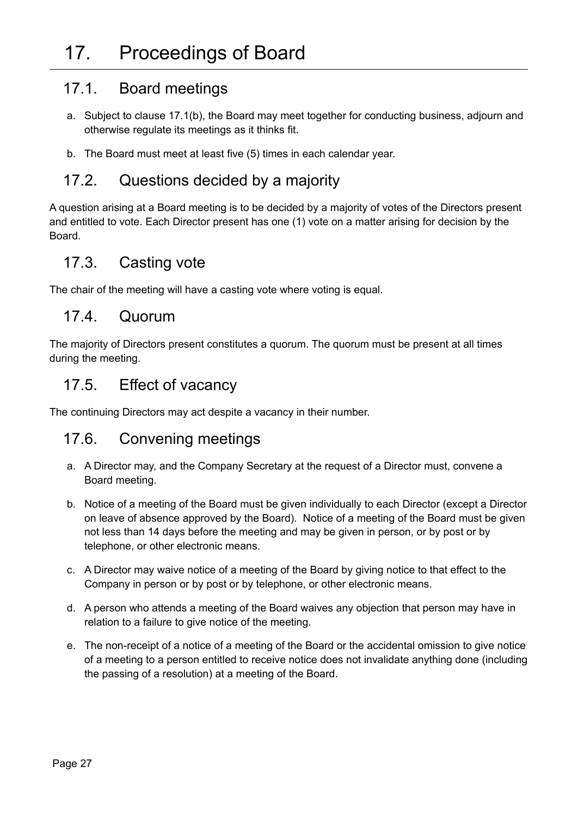#### <span id="page-26-1"></span><span id="page-26-0"></span>17.1. Board meetings

- a. Subject to clause 17.1(b), the Board may meet together for conducting business, adjourn and otherwise regulate its meetings as it thinks fit.
- b. The Board must meet at least five (5) times in each calendar year.

#### <span id="page-26-2"></span>17.2. Questions decided by a majority

A question arising at a Board meeting is to be decided by a majority of votes of the Directors present and entitled to vote. Each Director present has one (1) vote on a matter arising for decision by the Board.

#### <span id="page-26-3"></span>17.3. Casting vote

The chair of the meeting will have a casting vote where voting is equal.

#### <span id="page-26-4"></span>17.4. Quorum

The majority of Directors present constitutes a quorum. The quorum must be present at all times during the meeting.

#### <span id="page-26-5"></span>17.5. Effect of vacancy

The continuing Directors may act despite a vacancy in their number.

#### <span id="page-26-6"></span>17.6. Convening meetings

- a. A Director may, and the Company Secretary at the request of a Director must, convene a Board meeting.
- b. Notice of a meeting of the Board must be given individually to each Director (except a Director on leave of absence approved by the Board). Notice of a meeting of the Board must be given not less than 14 days before the meeting and may be given in person, or by post or by telephone, or other electronic means.
- c. A Director may waive notice of a meeting of the Board by giving notice to that effect to the Company in person or by post or by telephone, or other electronic means.
- d. A person who attends a meeting of the Board waives any objection that person may have in relation to a failure to give notice of the meeting.
- e. The non-receipt of a notice of a meeting of the Board or the accidental omission to give notice of a meeting to a person entitled to receive notice does not invalidate anything done (including the passing of a resolution) at a meeting of the Board.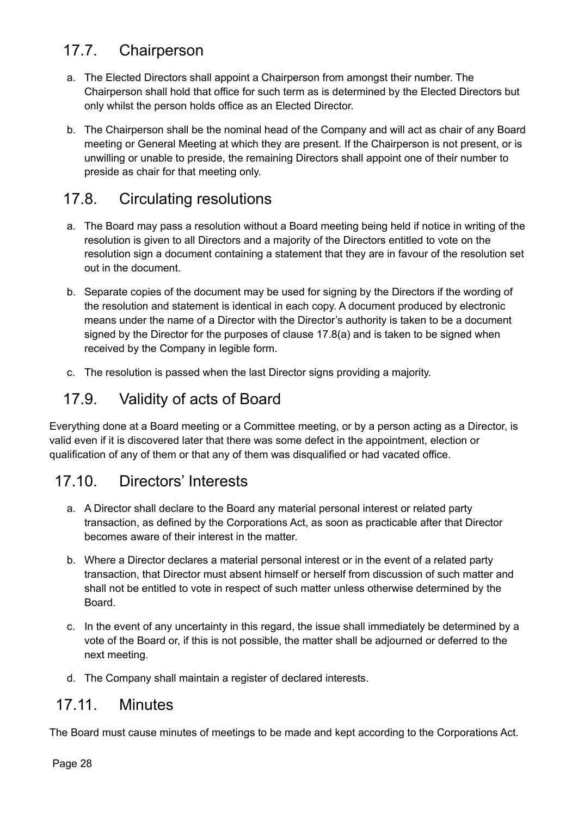## <span id="page-27-0"></span>17.7. Chairperson

- a. The Elected Directors shall appoint a Chairperson from amongst their number. The Chairperson shall hold that office for such term as is determined by the Elected Directors but only whilst the person holds office as an Elected Director.
- b. The Chairperson shall be the nominal head of the Company and will act as chair of any Board meeting or General Meeting at which they are present. If the Chairperson is not present, or is unwilling or unable to preside, the remaining Directors shall appoint one of their number to preside as chair for that meeting only.

## <span id="page-27-1"></span>17.8. Circulating resolutions

- a. The Board may pass a resolution without a Board meeting being held if notice in writing of the resolution is given to all Directors and a majority of the Directors entitled to vote on the resolution sign a document containing a statement that they are in favour of the resolution set out in the document.
- b. Separate copies of the document may be used for signing by the Directors if the wording of the resolution and statement is identical in each copy. A document produced by electronic means under the name of a Director with the Director's authority is taken to be a document signed by the Director for the purposes of clause 17.8(a) and is taken to be signed when received by the Company in legible form.
- c. The resolution is passed when the last Director signs providing a majority.

## <span id="page-27-2"></span>17.9. Validity of acts of Board

Everything done at a Board meeting or a Committee meeting, or by a person acting as a Director, is valid even if it is discovered later that there was some defect in the appointment, election or qualification of any of them or that any of them was disqualified or had vacated office.

## <span id="page-27-3"></span>17.10. Directors' Interests

- a. A Director shall declare to the Board any material personal interest or related party transaction, as defined by the Corporations Act, as soon as practicable after that Director becomes aware of their interest in the matter.
- b. Where a Director declares a material personal interest or in the event of a related party transaction, that Director must absent himself or herself from discussion of such matter and shall not be entitled to vote in respect of such matter unless otherwise determined by the **Board**
- c. In the event of any uncertainty in this regard, the issue shall immediately be determined by a vote of the Board or, if this is not possible, the matter shall be adjourned or deferred to the next meeting.
- d. The Company shall maintain a register of declared interests.

#### <span id="page-27-4"></span>17.11. Minutes

The Board must cause minutes of meetings to be made and kept according to the Corporations Act.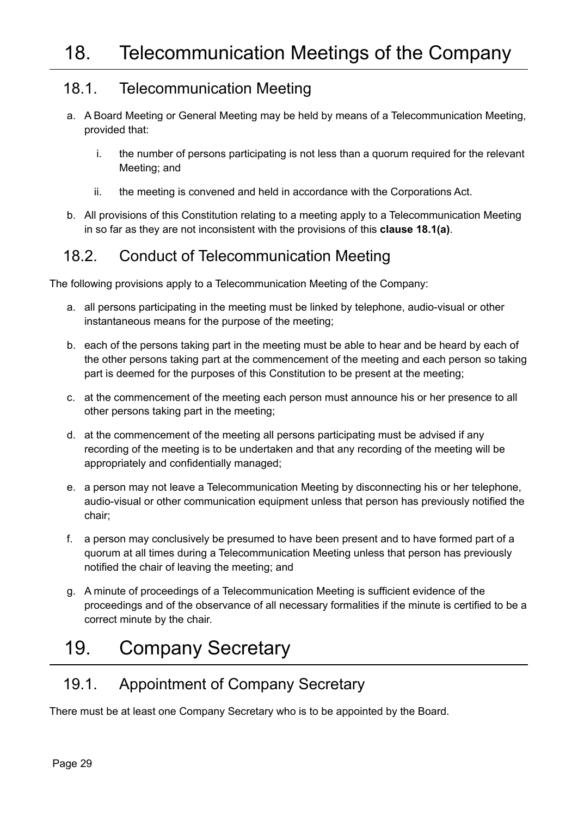### <span id="page-28-1"></span><span id="page-28-0"></span>18.1. Telecommunication Meeting

- a. A Board Meeting or General Meeting may be held by means of a Telecommunication Meeting, provided that:
	- i. the number of persons participating is not less than a quorum required for the relevant Meeting; and
	- ii. the meeting is convened and held in accordance with the Corporations Act.
- b. All provisions of this Constitution relating to a meeting apply to a Telecommunication Meeting in so far as they are not inconsistent with the provisions of this **clause 18.1(a)**.

### <span id="page-28-2"></span>18.2. Conduct of Telecommunication Meeting

The following provisions apply to a Telecommunication Meeting of the Company:

- a. all persons participating in the meeting must be linked by telephone, audio-visual or other instantaneous means for the purpose of the meeting;
- b. each of the persons taking part in the meeting must be able to hear and be heard by each of the other persons taking part at the commencement of the meeting and each person so taking part is deemed for the purposes of this Constitution to be present at the meeting;
- c. at the commencement of the meeting each person must announce his or her presence to all other persons taking part in the meeting;
- d. at the commencement of the meeting all persons participating must be advised if any recording of the meeting is to be undertaken and that any recording of the meeting will be appropriately and confidentially managed;
- e. a person may not leave a Telecommunication Meeting by disconnecting his or her telephone, audio-visual or other communication equipment unless that person has previously notified the chair;
- f. a person may conclusively be presumed to have been present and to have formed part of a quorum at all times during a Telecommunication Meeting unless that person has previously notified the chair of leaving the meeting; and
- g. A minute of proceedings of a Telecommunication Meeting is sufficient evidence of the proceedings and of the observance of all necessary formalities if the minute is certified to be a correct minute by the chair.

## <span id="page-28-3"></span>19. Company Secretary

### <span id="page-28-4"></span>19.1. Appointment of Company Secretary

There must be at least one Company Secretary who is to be appointed by the Board.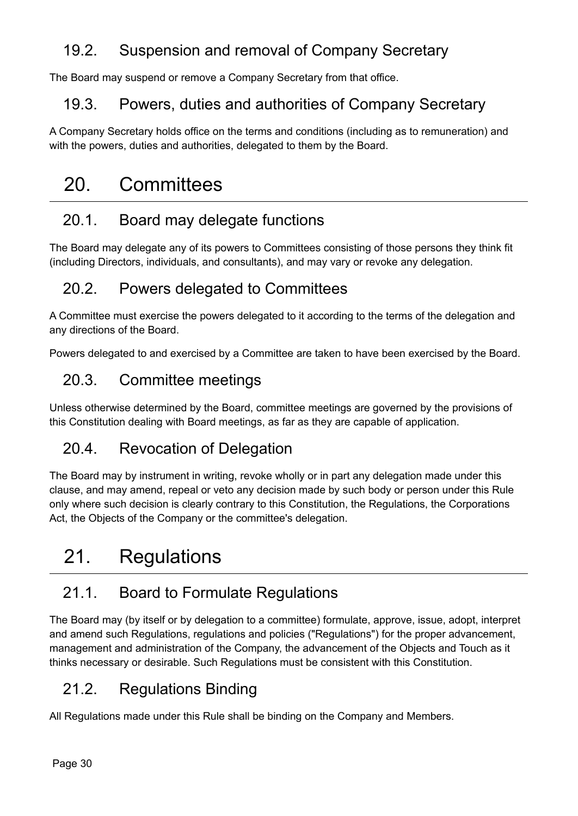## <span id="page-29-0"></span>19.2. Suspension and removal of Company Secretary

The Board may suspend or remove a Company Secretary from that office.

### <span id="page-29-1"></span>19.3. Powers, duties and authorities of Company Secretary

A Company Secretary holds office on the terms and conditions (including as to remuneration) and with the powers, duties and authorities, delegated to them by the Board.

## <span id="page-29-2"></span>20. Committees

## <span id="page-29-3"></span>20.1. Board may delegate functions

The Board may delegate any of its powers to Committees consisting of those persons they think fit (including Directors, individuals, and consultants), and may vary or revoke any delegation.

## <span id="page-29-4"></span>20.2. Powers delegated to Committees

A Committee must exercise the powers delegated to it according to the terms of the delegation and any directions of the Board.

Powers delegated to and exercised by a Committee are taken to have been exercised by the Board.

## <span id="page-29-5"></span>20.3. Committee meetings

Unless otherwise determined by the Board, committee meetings are governed by the provisions of this Constitution dealing with Board meetings, as far as they are capable of application.

## <span id="page-29-6"></span>20.4. Revocation of Delegation

The Board may by instrument in writing, revoke wholly or in part any delegation made under this clause, and may amend, repeal or veto any decision made by such body or person under this Rule only where such decision is clearly contrary to this Constitution, the Regulations, the Corporations Act, the Objects of the Company or the committee's delegation.

## <span id="page-29-7"></span>21. Regulations

## <span id="page-29-8"></span>21.1. Board to Formulate Regulations

The Board may (by itself or by delegation to a committee) formulate, approve, issue, adopt, interpret and amend such Regulations, regulations and policies ("Regulations") for the proper advancement, management and administration of the Company, the advancement of the Objects and Touch as it thinks necessary or desirable. Such Regulations must be consistent with this Constitution.

## <span id="page-29-9"></span>21.2. Regulations Binding

All Regulations made under this Rule shall be binding on the Company and Members.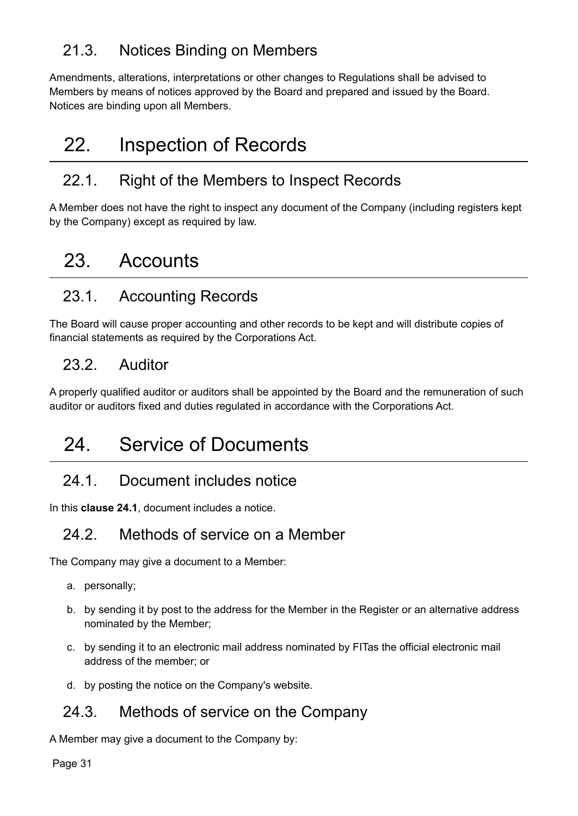## <span id="page-30-0"></span>21.3. Notices Binding on Members

Amendments, alterations, interpretations or other changes to Regulations shall be advised to Members by means of notices approved by the Board and prepared and issued by the Board. Notices are binding upon all Members.

## <span id="page-30-1"></span>22. Inspection of Records

## <span id="page-30-2"></span>22.1. Right of the Members to Inspect Records

A Member does not have the right to inspect any document of the Company (including registers kept by the Company) except as required by law.

## <span id="page-30-3"></span>23. Accounts

## <span id="page-30-4"></span>23.1. Accounting Records

The Board will cause proper accounting and other records to be kept and will distribute copies of financial statements as required by the Corporations Act.

## <span id="page-30-5"></span>23.2. Auditor

A properly qualified auditor or auditors shall be appointed by the Board and the remuneration of such auditor or auditors fixed and duties regulated in accordance with the Corporations Act.

## <span id="page-30-6"></span>24. Service of Documents

## <span id="page-30-7"></span>24.1. Document includes notice

In this **clause 24.1**, document includes a notice.

## <span id="page-30-8"></span>24.2. Methods of service on a Member

The Company may give a document to a Member:

- a. personally;
- b. by sending it by post to the address for the Member in the Register or an alternative address nominated by the Member;
- c. by sending it to an electronic mail address nominated by FITas the official electronic mail address of the member; or
- d. by posting the notice on the Company's website.

### <span id="page-30-9"></span>24.3. Methods of service on the Company

A Member may give a document to the Company by: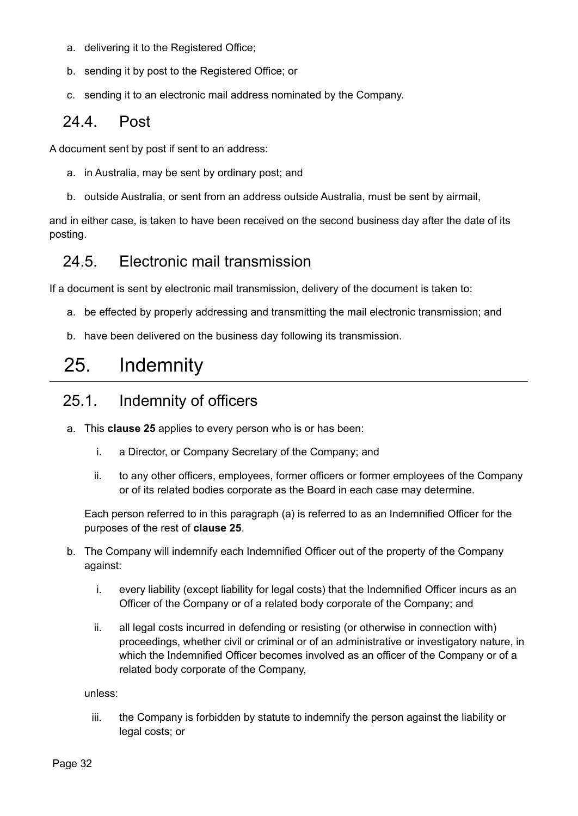- a. delivering it to the Registered Office;
- b. sending it by post to the Registered Office; or
- c. sending it to an electronic mail address nominated by the Company.

#### <span id="page-31-0"></span>24.4. Post

A document sent by post if sent to an address:

- a. in Australia, may be sent by ordinary post; and
- b. outside Australia, or sent from an address outside Australia, must be sent by airmail,

and in either case, is taken to have been received on the second business day after the date of its posting.

#### <span id="page-31-1"></span>24.5. Electronic mail transmission

If a document is sent by electronic mail transmission, delivery of the document is taken to:

- a. be effected by properly addressing and transmitting the mail electronic transmission; and
- b. have been delivered on the business day following its transmission.

## <span id="page-31-2"></span>25. Indemnity

## <span id="page-31-3"></span>25.1. Indemnity of officers

- a. This **clause 25** applies to every person who is or has been:
	- i. a Director, or Company Secretary of the Company; and
	- ii. to any other officers, employees, former officers or former employees of the Company or of its related bodies corporate as the Board in each case may determine.

Each person referred to in this paragraph (a) is referred to as an Indemnified Officer for the purposes of the rest of **clause 25**.

- b. The Company will indemnify each Indemnified Officer out of the property of the Company against:
	- i. every liability (except liability for legal costs) that the Indemnified Officer incurs as an Officer of the Company or of a related body corporate of the Company; and
	- ii. all legal costs incurred in defending or resisting (or otherwise in connection with) proceedings, whether civil or criminal or of an administrative or investigatory nature, in which the Indemnified Officer becomes involved as an officer of the Company or of a related body corporate of the Company,

unless:

iii. the Company is forbidden by statute to indemnify the person against the liability or legal costs; or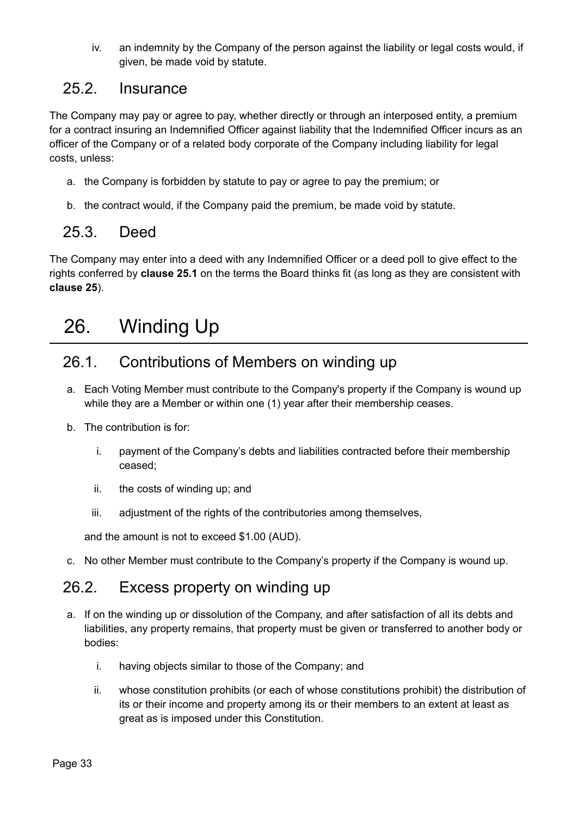iv. an indemnity by the Company of the person against the liability or legal costs would, if given, be made void by statute.

#### <span id="page-32-0"></span>25.2. Insurance

The Company may pay or agree to pay, whether directly or through an interposed entity, a premium for a contract insuring an Indemnified Officer against liability that the Indemnified Officer incurs as an officer of the Company or of a related body corporate of the Company including liability for legal costs, unless:

- a. the Company is forbidden by statute to pay or agree to pay the premium; or
- b. the contract would, if the Company paid the premium, be made void by statute.

### <span id="page-32-1"></span>25.3. Deed

The Company may enter into a deed with any Indemnified Officer or a deed poll to give effect to the rights conferred by **clause 25.1** on the terms the Board thinks fit (as long as they are consistent with **clause 25**).

## <span id="page-32-2"></span>26. Winding Up

### <span id="page-32-3"></span>26.1. Contributions of Members on winding up

- a. Each Voting Member must contribute to the Company's property if the Company is wound up while they are a Member or within one (1) year after their membership ceases.
- b. The contribution is for:
	- i. payment of the Company's debts and liabilities contracted before their membership ceased;
	- ii. the costs of winding up; and
	- iii. adjustment of the rights of the contributories among themselves,

and the amount is not to exceed \$1.00 (AUD).

c. No other Member must contribute to the Company's property if the Company is wound up.

#### <span id="page-32-4"></span>26.2. Excess property on winding up

- a. If on the winding up or dissolution of the Company, and after satisfaction of all its debts and liabilities, any property remains, that property must be given or transferred to another body or bodies:
	- i. having objects similar to those of the Company; and
	- ii. whose constitution prohibits (or each of whose constitutions prohibit) the distribution of its or their income and property among its or their members to an extent at least as great as is imposed under this Constitution.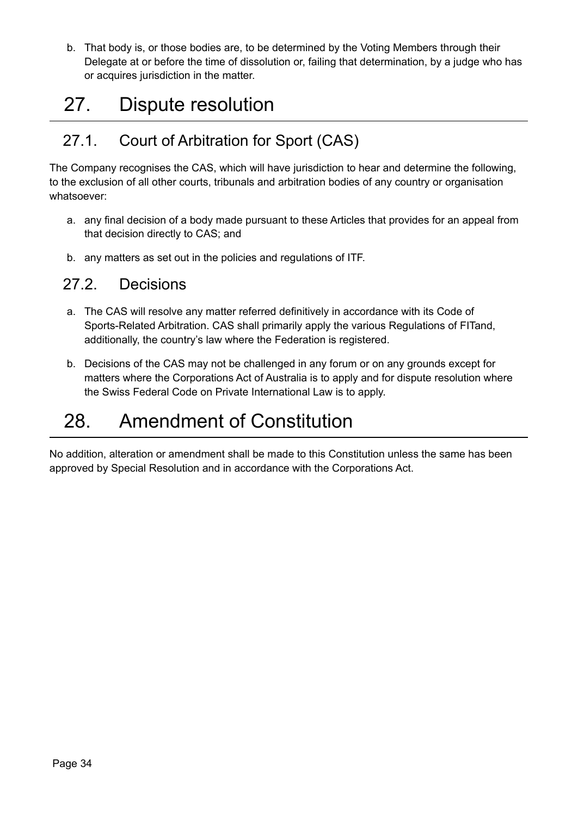b. That body is, or those bodies are, to be determined by the Voting Members through their Delegate at or before the time of dissolution or, failing that determination, by a judge who has or acquires jurisdiction in the matter.

## <span id="page-33-0"></span>27. Dispute resolution

## <span id="page-33-1"></span>27.1. Court of Arbitration for Sport (CAS)

The Company recognises the CAS, which will have jurisdiction to hear and determine the following, to the exclusion of all other courts, tribunals and arbitration bodies of any country or organisation whatsoever:

- a. any final decision of a body made pursuant to these Articles that provides for an appeal from that decision directly to CAS; and
- b. any matters as set out in the policies and regulations of ITF.

#### <span id="page-33-2"></span>27.2. Decisions

- a. The CAS will resolve any matter referred definitively in accordance with its Code of Sports-Related Arbitration. CAS shall primarily apply the various Regulations of FITand, additionally, the country's law where the Federation is registered.
- b. Decisions of the CAS may not be challenged in any forum or on any grounds except for matters where the Corporations Act of Australia is to apply and for dispute resolution where the Swiss Federal Code on Private International Law is to apply.

## <span id="page-33-3"></span>28. Amendment of Constitution

No addition, alteration or amendment shall be made to this Constitution unless the same has been approved by Special Resolution and in accordance with the Corporations Act.